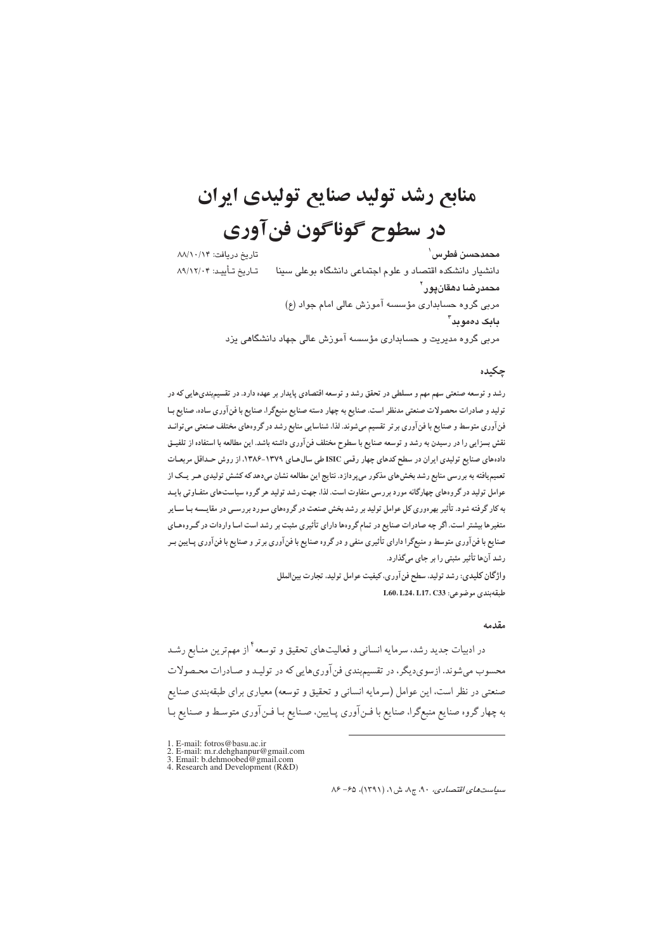# منابع رشد تولید صنایع تولیدی ایران در سطوح گوناگون فنآوري

تاريخ دريافت: ٨٨/١٠/١۴ محمدحسن فطرس ٰ دانشیار دانشکده اقتصاد و علوم اجتماعی دانشگاه بوعلی سینا تــاريخ تــأييــد: ۸۹/۱۲/۰۴ محمدرضا دهقانپور` مربی گروه حسابداری مؤسسه آموزش عالی امام جواد (ع) بابک دەموبد" مربی گروه مدیریت و حسابداری مؤسسه آموزش عالی جهاد دانشگاهی یزد

#### حكىدە

رشد و توسعه صنعتی سهم مهم و مسلطی در تحقق رشد و توسعه اقتصادی پایدار بر عهده دارد. در تقسیمېندیهایی که در تولید و صادرات محصولات صنعتی مدنظر است، صنایع به چهار دسته صنایع منبعگرا، صنایع با فن آوری ساده، صنایع بـا فن آوری متوسط و صنایع با فن آوری بر تر تقسیم میشوند. لذا، شناسایی منابع رشد در گروههای مختلف صنعتی می توانـد نقش بسزایی را در رسیدن به رشد و توسعه صنایع با سطوح مختلف فن آوری داشته باشد. این مطالعه با استفاده از تلفیــق دادههای صنایع تولیدی ایران در سطح کدهای چهار رقمی ISIC طی سال های ۱۳۷۹-۱۳۸۶. از روش حداقل مربعات تعمیم یافته به بررسی منابع رشد بخش های مذکور می پردازد. نتایج این مطالعه نشان میدهد که کشش تولیدی هـر یـک از عوامل تولید در گروههای چهارگانه مورد بررسی متفاوت است. لذا، جهت رشد تولید هر گروه سیاستهای متفـاوتی بایـد به کار گرفته شود. تأثیر بهرهوری کل عوامل تولید بر رشد بخش صنعت در گروههای مـورد بررسـی در مقایـسه بـا سـایر متغیرها بیشتر است. اگر چه صادرات صنایع در تمام گروهها دارای تأثیری مثبت بر رشد است امـا واردات در گـروههای صنایع با فنآوری متوسط و منبعگرا دارای تأثیری منفی و در گروه صنایع با فنآوری برتر و صنایع با فنآوری پــایین بــر رشد آنها تأثیر مثبتی را بر جای میگذارد.

> واژگان کلیدی: رشد تولید، سطح فن آوری، کیفیت عوامل تولید، تجارت بین الملل طبقەبندى موضوعى: L60، L24، L17، C33

#### مقدمه

در ادبیات جدید رشد، سرمایه انسانی و فعالیتهای تحقیق و توسعه<sup>۲</sup> از مهمترین منـابع رشـد محسوب میشوند. ازسوی دیگر، در تقسیمبندی فن آوریهایی که در تولیـد و صـادرات محـصولات صنعتی در نظر است، این عوامل (سرمایه انسانی و تحقیق و توسعه) معیاری برای طبقهبندی صنایع به چهار گروه صنایع منبعگرا، صنایع با فینآوری پیایین، صنایع بیا فینآوری متوسط و صنایع بیا

- 1. E-mail: fotros@basu.ac.ir
- 1. E-mail: m.r.dehghanpur@gmail.com<br>
3. E-mail: m.r.dehghanpur@gmail.com<br>
3. Email: b.dehmoobed@gmail.com<br>
4. Research and Development (R&D)
- 

 $\lambda$ ۶ - ۶۵ سیاستهای اقتصادی، ۹۰، ج $\lambda$ ، ش ۱، (۱۳۹۱)، ۶۵ - ۸۶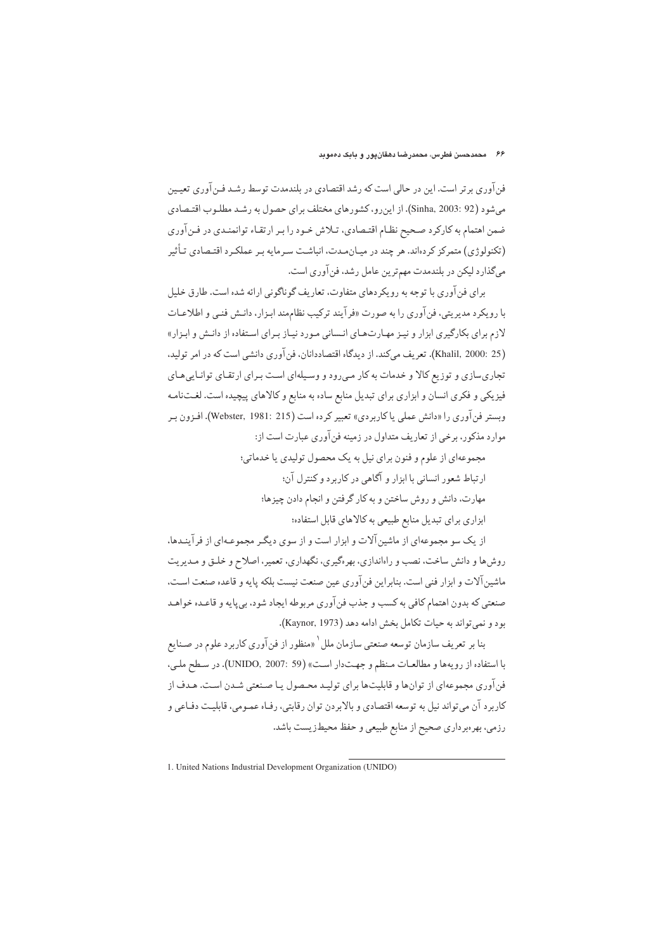فنآوری برتر است. این در حالی است که رشد اقتصادی در بلندمدت توسط رشـد فـنآوری تعیـین می شود (92 :Sinha, 2003). از این رو، کشورهای مختلف برای حصول به رشید مطلبوب اقتیصادی ضمن اهتمام به کارکرد صحیح نظـام اقتـصادي، تـلاش خـود را بـر ارتقـاء توانمنـدي در فـن آوري (تکنولوژی) متمرکز کردهاند. هر چند در میـان.مـدت، انباشـت سـر مايه بـر عملکـرد اقتـصادي تـأثـر میگذارد لیکن در بلندمدت مهمترین عامل رشد، فن آوری است.

برای فن آوری با توجه به رو یکردهای متفاوت، تعاریف گوناگونی ارائه شده است. طارق خلیل با رویکرد مدیریتی، فنآوری را به صورت «فرآیند ترکیب نظاممند ابـزار، دانـش فنـی و اطلاعـات لازم برای بکارگیری ابزار و نیـز مهـارتهـای انـسانی مـورد نیـاز بـرای اسـتفاده از دانـش و ابـزار» (Khalil, 2000: 25). تعريف ميكند. از ديدگاه اقتصاددانان، فن آوري دانشي است كه در امر توليد، تجاریسازی و توزیع کالا و خدمات به کار مبی رود و وسیلهای است بـرای ارتقـای توانـاییهـای فیزیکی و فکری انسان و ابزاری برای تبدیل منابع ساده به منابع و کالاهای پیچیده است. لغتنامـه وبستر فن آوري را «دانش عملي پاکاربردي» تعبير کرده است (Webster, 1981: 215). افيزون ب موارد مذکور، برخی از تعاریف متداول در زمینه فنآوری عبارت است از:

> مجموعهاي از علوم و فنون براي نيل به يک محصول توليدي يا خدماتي؛ ارتباط شعور انسانی با ایزار و آگاهی در کاربرد و کنترل آن؛ مهارت، دانش و روش ساختن و به كار گرفتن و انجام دادن چيزها؛

> > ابزاری برای تبدیل منابع طبیعی به کالاهای قابل استفاده؛

از یک سو مجموعهای از ماشین آلات و ایزار است و از سوی دیگیر مجموعـهای از فرآینـدها، روش ها و دانش ساخت، نصب و راهاندازي، بهرهگيري، نگهداري، تعمير، اصلاح و خلـق و مـديريت ماشين آلات و ابزار فني است. بنابراين فن آوري عين صنعت نيست بلكه پايه و قاعده صنعت است، صنعتي كه بدون اهتمام كافي به كسب و جذب فن آوري مربوطه ايجاد شود، بي پايه و قاعـده خواهـد بود و نمي تواند به حيات تكامل بخش ادامه دهد (Kaynor, 1973).

بنا بر تعریف سازمان توسعه صنعتبي سازمان ملل ` «منظور از فن آوري كاربرد علوم در صـنايع با استفاده از رويهها و مطالعات منظم و جهت دار است» (UNIDO, 2007: 59). در سطح ملبي، فن آوري مجموعهاي از توانها و قابليتها براي توليـد محـصول يـا صـنعتي شـدن اسـت. هـدف از کاربر د آن می تواند نیل به توسعه اقتصادی و بالابردن توان رقابتی، رفـاه عمـومی، قابلیـت دفـاعی و رزمي، بهرهبرداري صحيح از منابع طبيعي و حفظ محيطزيست باشد.

1. United Nations Industrial Development Organization (UNIDO)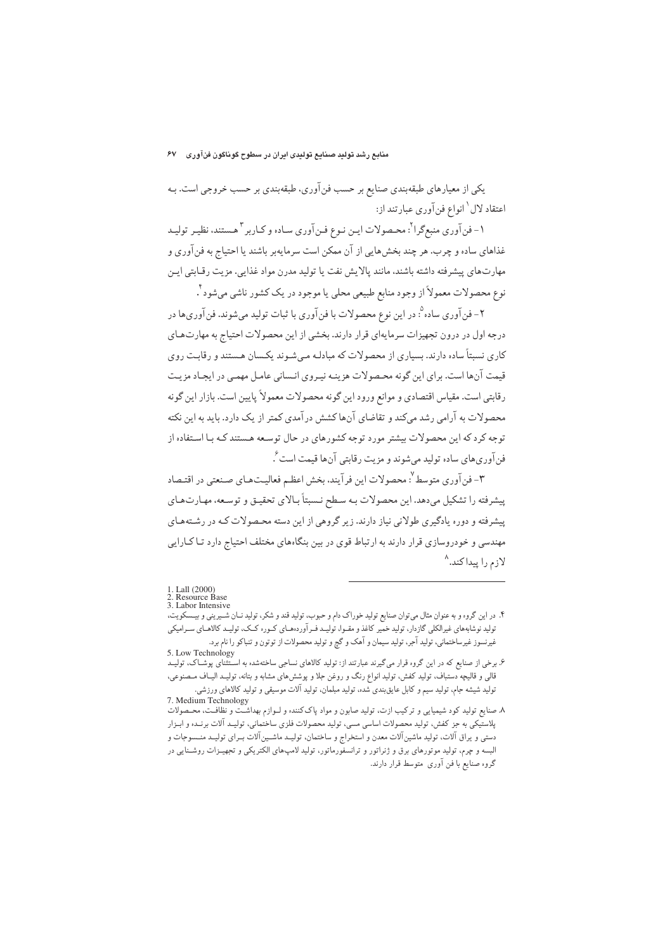یکی از معیارهای طبقهبندی صنایع بر حسب فن آوری، طبقهبندی بر حسب خروجی است. بـه اعتقاد لال ٰ انواع فن آوري عبارتند از:

۱- فن آوري منبع گرا<sup>۲</sup>: محـصولات ايـن نـوع فـن آوري سـاده و كـاربر <sup>۳</sup> هـستند، نظيـر توليـد غذاهای ساده و چرب. هر چند بخشهایی از آن ممکن است سرمایهبر باشند یا احتیاج به فن آوری و مهارتهاي پيشرفته داشته باشند، مانند پالايش نفت يا توليد مدرن مواد غذايي. مزيت رقـابتي ايـن نوع محصولات معمولاً از وجود منابع طبیعی محلی یا موجود در یک کشور ناشی میشود ٔ .

٢- فن آوري ساده °: در اين نوع محصولات با فن آوري با ثبات توليد مي شوند. فن آوري ها در درجه اول در درون تجهیزات سرمایهای قرار دارند. بخشی از این محصولات احتیاج به مهارتهای کاری نستاً ساده دارند. بسیاری از محصولات که میادلـه مے شـوند یکـسان هـستند و رقایـت روی قیمت آنها است. برای این گونه محصولات هزینـه نیـروی انـسانی عامـل مهمـی در ایجـاد مزیـت رقابتي است. مقياس اقتصادي و موانع ورود اين گونه محصولات معمولاً پايين است. بازار اين گونه محصولات به آرامی رشد میکند و تقاضای آنهاکشش درآمدی کمتر از یک دارد. باید به این نکته توجه کرد که این محصولات بیشتر مورد توجه کشورهای در حال توسعه هستند کـه بـا اسـتفاده از فن آوري هاي ساده توليد مي شوند و مزيت رقابتي آن ها قيمت است ً .

٣- فن آوري متوسط ". محصولات اين فر آيند، بخش اعظـم فعاليـتھـاي صـنعتي در اقتـصاد پیشرفته را تشکیل می دهد. این محصولات بـه سـطح نـسبتاً بـالای تحقیـق و توسـعه، مهـارتهـای پیشرفته و دوره یادگیری طولانی نیاز دارند. زیر گروهی از این دسته محصولات کـه در رشـتههـای مهندسی و خودروسازی قرار دارند به ارتباط قوی در بین بنگاههای مختلف احتیاج دارد تـاکـارایی لازم را پیداکند.^

۶. لرضی از صنایع که در این گروه قرار میگیرند عبارتند از: تولید کالاهای نساجی ساختهشده به استثنای پوشـاک، تولیـد<br>قطال علمی استثنای پوشـاک، تولیـد قالی و قالیچه دستباف، تولید کفش، تولید انواع رنگ و روغن جلا و پوششهای مشابه و بتانه، تولیــد الیــاف مــصنوعی، تولید شیشه جام، تولید سیم و کابل عایق بندی شده، تولید مبلمان، تولید آلات موسیقی و تولید کالاهای ورزشی. 7. Medium Technology

۸. صنایع تولید کود شیمیایی و ترکیب ازت، تولید صابون و مواد پاککننده و لـوازم بهداشـت و نظافـت، محــصولات پلاستیکی به جز کفش، تولید محصولات اساسی مسی، تولید محصولات فلزی ساختمانی، تولیـد آلات برنـده و ابـزار دستی و یراق آلات، تولید ماشینآلات معدن و استخراج و ساختمان، تولیـد ماشـینآلات بـرای تولیـد منـسوجات و البسه و چرم، تولید موتورهای برق و ژنراتور و ترانسفورماتور، تولید لامپهای الکتریکی و تجهیـزات روشـنایی در گروه صنایع با فن آوری متوسط قرار دارند.

<sup>1.</sup> Lall (2000)

<sup>2.</sup> Resource Base<br>3. Labor Intensive

۴. در اين گروه و به عنوان مثال مي توان صنايع توليد خوراک دام و حبوب، توليد قند و شکر، توليد نــان شــيريني و بي تولید نوشابههای غیرالکلی گازدار، تولید خمیر کاغذ و مقـوا، تولیـد فـرآوردههـای کـوره کـک، تولیـد کالاهـای سـرامیکی غیرنسوز غیرساختمانی، تولید آجر، تولید سیمان و آهک و گچ و تولید محصولات از توتون و تنباکو را نام برد.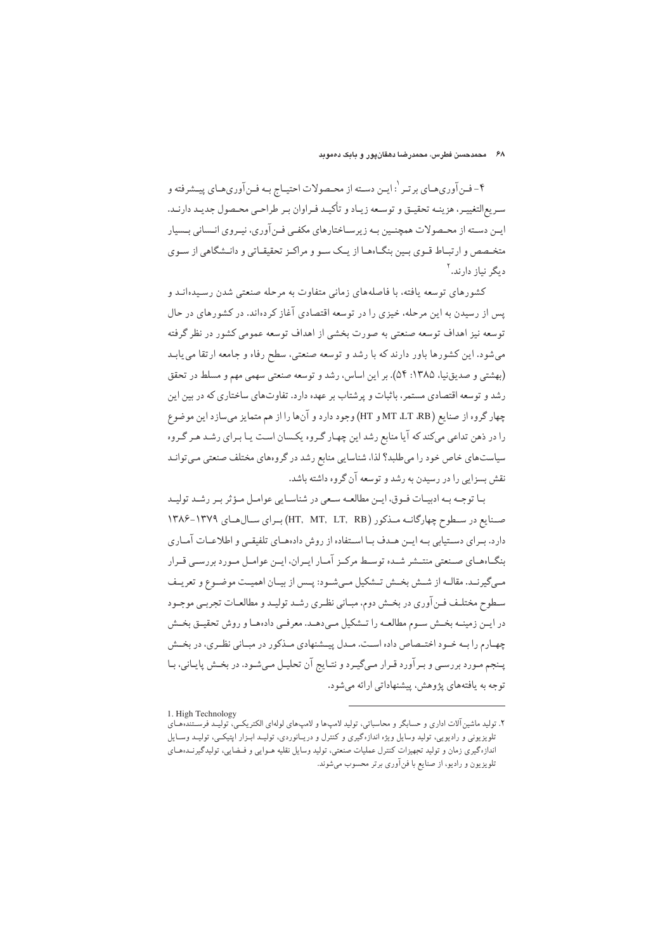#### ۶۸ - محمدحسن فطرس، محمدرضا دهقانپور و بابک دهموبد

۴- فـن آوريهـاي برتـر `: ايـن دسـته از محـصولات احتيـاج بـه فـن آوريهـاي پيـشرفته و سريع|لتغييـر، هزينـه تحقيـق و توسـعه زيـاد و تأكيـد فـراوان بـر طراحـي محـصول جديـد دارنـد. این دسته از محیصولات همچنیین به زیرسیاختارهای مکفی فین آوری، نیبروی انیسانی بیسیار متخـصص و ارتبـاط قـوى بـين بنگـاهـا از يـك سـو و مراكـز تحقيقـاتي و دانـشگاهي از سـوى دىگر نىاز دارند.<sup>۲</sup>

کشورهای توسعه بافته، با فاصلههای زمانی متفاوت به مرحله صنعتی شدن رسیدهانید و یس از رسیدن به این مرحله، خیزی را در توسعه اقتصادی آغاز کردهاند. در کشورهای در حال توسعه نیز اهداف توسعه صنعتی به صورت بخشی از اهداف توسعه عمومی کشور در نظر گرفته می شود. این کشورها باور دارند که با رشد و توسعه صنعتی، سطح رفاه و جامعه ارتقا می یابد (بهشتی و صدیق نیا، ۱۳۸۵: ۵۴). بر این اساس، رشد و توسعه صنعتی سهمی مهم و مسلط در تحقق رشد و توسعه اقتصادی مستمر، باثبات و پرشتاب بر عهده دارد. تفاوتهای ساختاری که در بین این چهار گروه از صنایع (MT ،LT ،RB و HT) وجود دارد و آنها را از هم متمایز می سازد این موضوع را در ذهن تداعی میکند که آیا منابع رشد این چهار گروه یکسان است یـا بـرای رشـد هـر گـروه سیاستهای خاص خود را میطلبد؟ لذا، شناسایی منابع رشد در گروههای مختلف صنعتی می توانـد نقش بسزایی را در رسیدن به رشد و توسعه آن گروه داشته باشد.

بـا توجـه بـه ادبيـات فـوق، ايـن مطالعـه سـعى در شناسـايي عوامـل مـؤثر بـر رشـد توليـد صنایع در سطوح چهارگانــه مـذکور (HT, MT, LT, RB) بـرای سـالهـای ١٣٧٩-١٣٨۶ دارد. بـراي دسـتيابي بـه ايـن هـدف بـا اسـتفاده از روش دادههـاي تلفيقـي و اطلاعـات آمـاري بنگـاهمـاي صـنعتي منتــشر شــده توســط مركــز آمــار ايــران، ايــن عوامــل مــورد بررســي قــرار مبي گيرنـد. مقالـه از شـش بخـش تـشكيل مـيشـود: پـس از بيـان اهميـت موضـوع و تعريـف سطوح مختلف فـن آوري در بخـش دوم، مبـاني نظـري رشـد توليـد و مطالعـات تجربـي موجـود در ايــن زمينــه بخــش ســوم مطالعــه را تــشكيل مــى‹هــد. معرفــى دادههــا و روش تحقيــق بخــش چهارم را بـه خـود اختـصاص داده اسـت. مـدل پيــشنهادي مـذكور در مبـاني نظـري، در بخـش پنجم مورد بررسی و بیر آورد قیرار میگیرد و نتـایج آن تحلیـل مـی شـود. در بخـش پایـانی، بـا توجه به یافتههای پژوهش، پیشنهاداتی ارائه میشود.

<sup>1.</sup> High Technology

۲. تولید ماشین آلات اداری و حسابگر و محاسباتی، تولید لامپھا و لامپھای لولهای الکتریکـی، ّتولیــد فرســتندّهفـای تلویزیونی و رادیویی، تولید وسایل ویژه اندازهگیری و کنترل و دریـانوردی، تولیـد ابـزار اپتیکـی، تولیـد وسـایل اندازه گیری زمان و تولید تجهیزات کنترل عملیات صنعتی، تولید وسایل نقلیه هـوایی و فـضایی، تولیدگیرنــدههـای تلویزیون و رادیو، از صنایع با فن آوری برتر محسوب میشوند.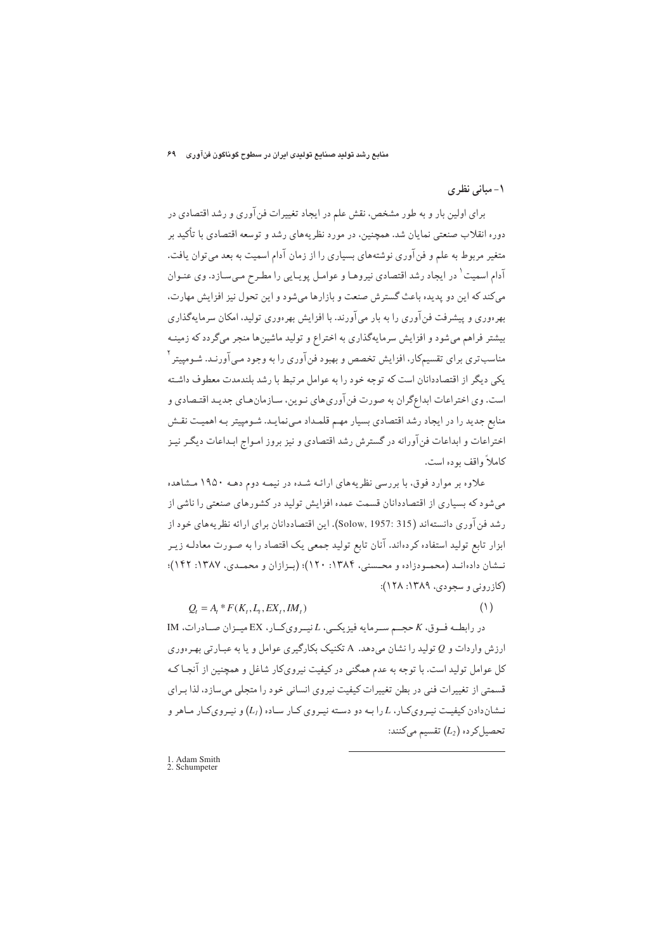منابع رشد تولید صنایع تولیدی ایران در سطوح گوناگون فنآوری که ۶۹

# ۱- مبانی نظری

 $(1)$ 

برای اولین بار و به طور مشخص، نقش علم در ایجاد تغییرات فن آوری و رشد اقتصادی در دوره انقلاب صنعتی نمایان شد. همچنین، در مورد نظر یههای رشد و توسعه اقتصادی با تأکید بر متغیر مربوط به علم و فن آوری نوشتههای بسیاری را از زمان آدام اسمیت به بعد می توان یافت. آدام اسمیت <sup>۱</sup> در ایجاد رشد اقتصادی نیروهـا و عوامـل پویـایی را مطـرح مـیسـازد. وی عنـوان می کند که این دو پدیده باعث گسترش صنعت و بازارها می شود و این تحول نیز افزایش مهارت، بهرهوری و پیشرفت فن آوری را به بار می آورند. با افزایش بهرهوری تولید، امکان سرمایهگذاری بیشتر فراهم میشود و افزایش سرمایهگذاری به اختراع و تولید ماشینها منجر میگردد که زمینـه مناسب تری برای تقسیمکار، افزایش تخصص و بهبود فن آوری را به وجود مـی آورنـد. شـومییتر <sup>۲</sup> یکی دیگر از اقتصاددانان است که توجه خود را به عوامل مرتبط با رشد بلندمدت معطوف داشته است. وي اختراعات ابداعگران به صورت فن آوري هاي نـوين، سـازمان هـاي جديـد اقتـصادي و منابع جدید را در ایجاد رشد اقتصادی بسیار مهم قلمـداد مـی نمایـد. شـومییتر بـه اهمیـت نقـش اختراعات و ابداعات فنآورانه در گسترش رشد اقتصادی و نیز بروز امـواج ابـداعات دیگـر نیـز كاملاً واقف بوده است.

علاوه بر موارد فوق، با بررسی نظریههای ارائـه شـده در نیمـه دوم دهـه ۱۹۵۰ مـشاهده می شود که بسیاری از اقتصاددانان قسمت عمده افزایش تولید در کشورهای صنعتی را ناشی از رشد فن آوري دانستهاند (Solow, 1957: 315). اين اقتصاددانان براي ارائه نظريههاي خود از ابزار تابع تولید استفاده کردهاند. آنان تابع تولید جمعی یک اقتصاد را به صورت معادلـه زیـر نـشان دادهانـد (محمـودزاده و محـسني، ۱۳۸۴: ۱۲۰)؛ (بـزازان و محمـدي، ۱۳۸۷: ۱۴۲)؛ (کازرونی و سجودی، ۱۳۸۹: ۱۲۸):

 $Q_t = A_t * F(K_t, L_t, EX_t, IM_t)$ 

در رابطه فوق، K حجم سرمايه فيزيكيي، L نيمرويكار، EX ميمزان صادرات، IM ارزش واردات و Q تولید را نشان می دهد. A تکنیک بکارگیری عوامل و یا به عبـارتی بهـرهوری کل عوامل تولید است. با توجه به عدم همگنی در کیفیت نیرویکار شاغل و همچنین از آنجـا کـه قسمتی از تغییرات فنی در بطن تغییرات کیفیت نیروی انسانی خود را متجلی میسازد، لذا بـرای نشان دادن کیفیت نیـروی کـار، L را بـه دو دسـته نیـروی کـار سـاده  $(L_I)$  و نیـروی کـار مـاهر و تحصیل کرده  $(L_2)$  تقسیم میکنند:

1. Adam Smith<br>2. Schumpeter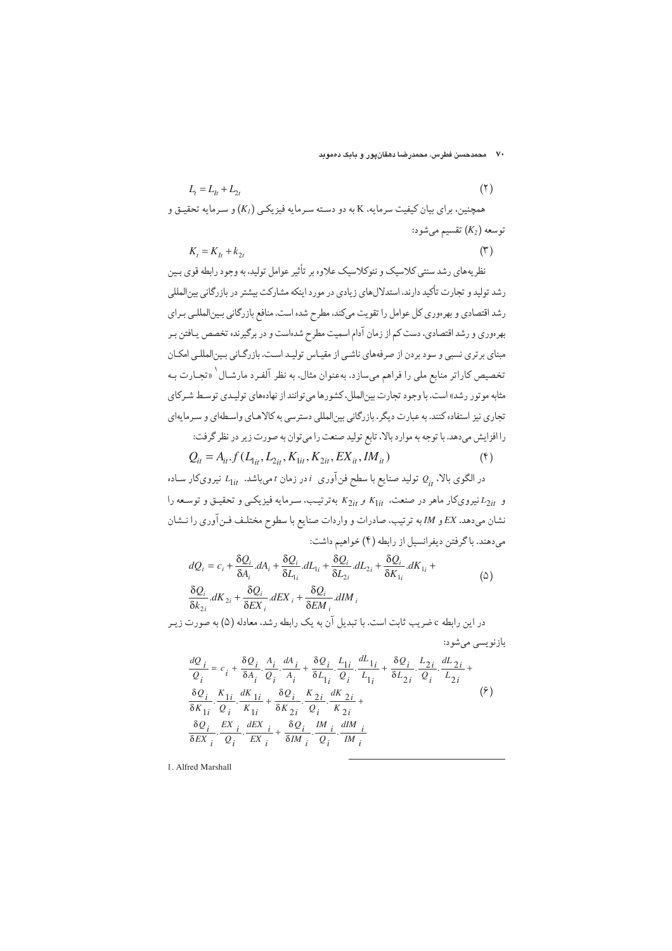۷۰ محمدحسن فطرس، محمدرضا دهقانپور و بابک د*مم*وبد

$$
L_{t} = L_{1t} + L_{2t}
$$
\n(7)  
\n
$$
K_{t} = L_{1t} + L_{2t}
$$
\n(8)  
\n
$$
K_{t} = K_{t} + k_{2t}
$$
\n(9)  
\n
$$
K_{t} = K_{t} + k_{2t}
$$
\n(10)  
\n(21)  
\n(32)  
\n(44)  
\n(54)  
\n(55)  
\n(66)  
\n(7)  
\n(87)  
\n(9)

نظریههای رشد سنتی کلاسیک و نئوکلاسیک علاوه بر تأثیر عوامل تولید، به وجود رابطه قوی بـین رشد تولید و تجارت تأکید دارند. استدلالهای زیادی در مورد اینکه مشارکت بیشتر در بازرگانی بین المللی رشد اقتصادی و بهرهوری کل عوامل را تقویت میکند، مطرح شده است. منافع بازرگانی بینالمللبی بـرای بهرهوري و رشد اقتصادي، دست كم از زمان آدام اسميت مطرح شدهاست و در برگيرنده تخصص يـافتن بـر مبنای برتری نسبی و سود بردن از صرفههای ناشبی از مقیـاس تولیـد اسـت. بازرگـانی بـین|لمللـی امکـان تخصیص کاراتر منابع ملی را فراهم میسازد. بهعنوان مثال، به نظر آلفـرد مارشـال`«تجـارت بـه مثابه موتور رشد» است. با وجود تجارت بینالملل، کشورها می توانند از نهادههای تولیـدی توسـط شـرکای تجاري نیز استفاده کنند. به عبارت دیگر، بازرگاني بينالمللي دسترسي به کالاهـاي واسـطهاي و سـرمايهاي را افزایش میدهد. با توجه به موارد بالا، تابع تولید صنعت را میتوان به صورت زیر در نظر گرفت:

$$
Q_{it} = A_{it} f(L_{1it}, L_{2it}, K_{1it}, K_{2it}, EX_{it}, IM_{it})
$$
\n<sup>(\$)</sup>

در الگوی بالا،  $\varrho_{i\tau}$  تولید صنایع با سطح فن آوری  $i$  در زمان  $t$ میباشد.  $L_{1it}$  نیرویکار سـاده و E<sub>2it</sub> نیرویکار ماهر در صنعت، K<sub>2it</sub> و K<sub>2it</sub> بهترتیب، سرمایه فیزیکمی و تحقیق و توسعه را نشان می،دهد. EX و IM به ترتیب، صادرات و واردات صنایع با سطوح مختلف فـن آوری را نـشان میدهند. با گرفتن دیفرانسیل از رابطه (۴) خواهیم داشت:

$$
dQ_i = c_i + \frac{\delta Q_i}{\delta A_i} dA_i + \frac{\delta Q_i}{\delta L_i} dL_{1i} + \frac{\delta Q_i}{\delta L_{2i}} dL_{2i} + \frac{\delta Q_i}{\delta K_{1i}} dK_{1i} + \frac{\delta Q_i}{\delta k_{2i}} dK_{2i} + \frac{\delta Q_i}{\delta E X_i} dEX_i + \frac{\delta Q_i}{\delta E M_i} dIM_i
$$
 (2)

در این رابطه c ضریب ثابت است. با تبدیل آن به یک رابطه رشد، معادله (۵) به صورت زیـر

$$
\frac{dQ_i}{Q_i} = c_i + \frac{\delta Q_i}{\delta A_i} \cdot \frac{A_i}{Q_i} \cdot \frac{dA_i}{A_i} + \frac{\delta Q_i}{\delta L_1} \cdot \frac{L_{1i}}{Q_i} \cdot \frac{dL_{1i}}{L_1} + \frac{\delta Q_i}{\delta L_{2i}} \cdot \frac{L_{2i}}{Q_i} \cdot \frac{dL_{2i}}{L_{2i}} + \frac{\delta Q_i}{\delta K_{1i}} \cdot \frac{K_{1i}}{Q_i} \cdot \frac{dK_{1i}}{K_{1i}} + \frac{\delta Q_i}{\delta K_{2i}} \cdot \frac{K_{2i}}{Q_i} \cdot \frac{dK_{2i}}{K_{2i}} + \frac{\delta Q_i}{\delta E X_i} \cdot \frac{EX}{Q_i} \cdot \frac{dEX}{EX}_i + \frac{\delta Q_i}{\delta M_i} \cdot \frac{M}{Q_i} \cdot \frac{dM}{M_i}
$$
\n
$$
(5)
$$

1. Alfred Marshall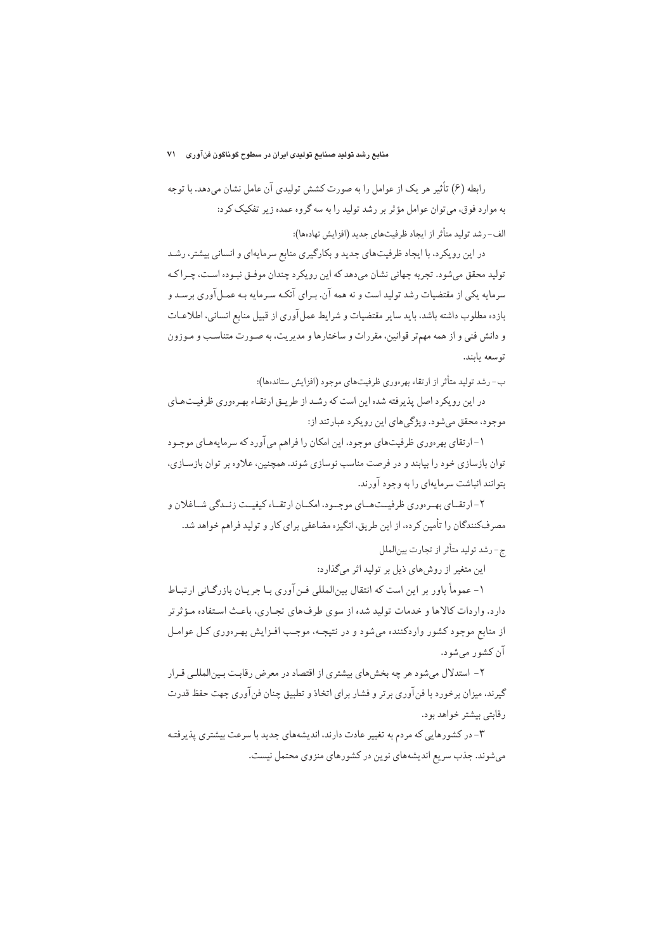رابطه (۶) تأثیر هر یک از عوامل را به صورت کشش تولیدی آن عامل نشان می،دهد. با توجه به موارد فوق، می توان عوامل مؤثر بر رشد تولید را به سه گروه عمده زیر تفکیک کرد:

الف-رشد توليد متأثر از ايجاد ظرفيتهاي جديد (افزايش نهادهها):

در این رویکرد، با ایجاد ظرفیتهای جدید و بکارگیری منابع سرمایهای و انسانی بیشتر، رشـد تولید محقق میشود. تجربه جهانی نشان میدهد که این رویکرد چندان موفـق نبـوده اسـت، چـراکـه سرمایه یکی از مقتضیات رشد تولید است و نه همه آن. بـرای آنکـه سـرمایه بـه عمـل آوری برسـد و بازده مطلوب داشته باشد، باید سایر مقتضیات و شرایط عمل آوری از قبیل منابع انسانی، اطلاعـات و دانش فنی و از همه مهمتر قوانین، مقررات و ساختارها و مدیریت، به صورت متناسب و مـوزون توسعه بابند.

ب- رشد تولید متأثر از ارتقاء بهرهوری ظرفیتهای موجود (افزایش ستاندهها):

در این رویکرد اصل پذیرفته شده این است که رشد از طریـق ارتقـاء بهـرهوری ظرفیـتهـای موجود، محقق میشود. ویژگی های این رویکرد عبارتند از:

۱- ارتقای بهرهوری ظرفیتهای موجود، این امکان را فراهم می آورد که سرمایههـای موجـود توان بازسازی خود را بیابند و در فرصت مناسب نوسازی شوند. همچنین، علاوه بر توان بازسـازی، بتوانند انباشت سرمايهاي را به وجود آورند.

۲- ار تقسای بهبه دوری ظرفیست هسای موجسه د، امکسان ار تقساء کیفیست زنسدگی شساغلان و مصرفکنندگان را تأمین کرده، از این طریق، انگیزه مضاعفی برای کار و تولید فراهم خواهد شد.

ج- رشد توليد متأثر از تجارت بينالملل

این متغیر از روشهای ذیل بر تولید اثر میگذارد:

۱- عموماً باور بر این است که انتقال بین|لمللی فـن آوری بـا جریـان بازرگـانی ارتبـاط دارد. واردات كالاها و خدمات توليد شده از سوى طرف هاى تجـارى، باعـث اسـتفاده مـؤثرتر از منابع موجود کشور واردکننده می شود و در نتیجـه، موجـب افـزایش بهـرهوری کـل عوامـل آن کشور میشود.

۲- استدلال میشود هر چه بخشهای بیشتری از اقتصاد در معرض رقابت بـینالمللـی قـرار گیرند، میزان برخورد با فنآوری برتر و فشار برای اتخاذ و تطبیق چنان فنآوری جهت حفظ قدرت رقابتي بيشتر خواهد بود.

۳- در کشورهایی که مردم به تغییر عادت دارند، اندیشههای جدید با سرعت بیشتری پذیرفته میشوند. جذب سریع اندیشههای نوین در کشورهای منزوی محتمل نیست.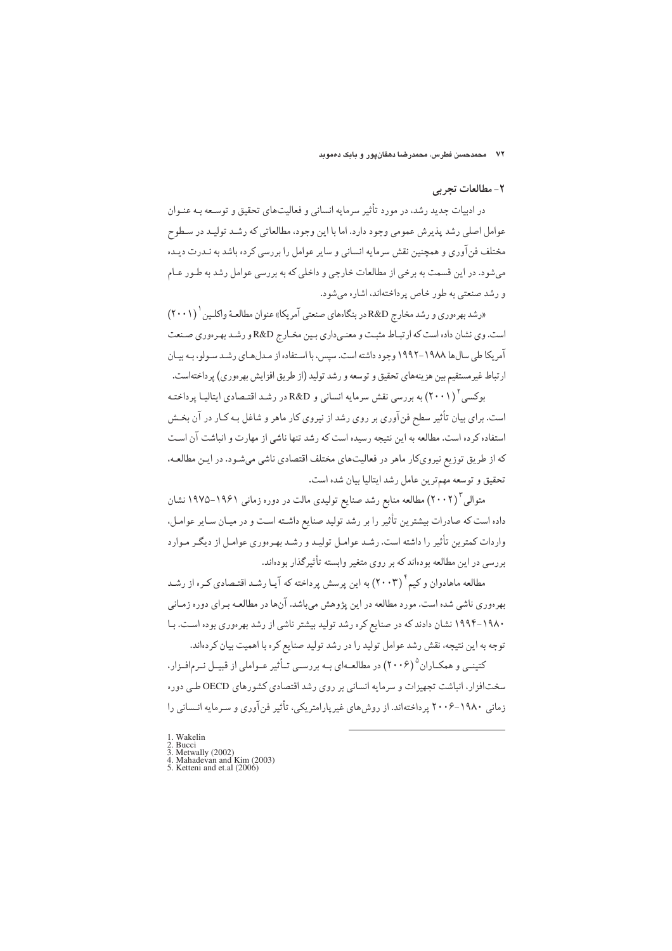#### ۲- مطالعات تجربي

در ادبیات جدید رشد، در مورد تأثیر سرمایه انسانی و فعالیتهای تحقیق و توسـعه بـه عنـوان عوامل اصلي رشد پذيرش عمومي وجود دارد. اما با اين وجود، مطالعاتي كه رشـد توليـد در سـطوح مختلف فنآوري و همچنين نقش سرمايه انساني و ساير عوامل را بررسي كرده باشد به نـدرت ديـده می شود. در این قسمت به برخی از مطالعات خارجی و داخلی که به بررسی عوامل رشد به طـور عـام و رشد صنعتي به طور خاص پرداختهاند، اشاره ميشود.

«رشد بهرهوري و رشد مخارج R&D در بنگاههاي صنعتي آمريكا» عنوان مطالعـهٔ واكلـين (٢٠٠١) است. وي نشان داده است كه ارتباط مثبت و معنى داري بين مخـارج R&D و رشـد بهرهوري صـنعت آمریکا طی سال ها ۱۹۸۸–۱۹۹۲ وجود داشته است. سپس، با استفاده از میدل هیای رشید سیولو، بیه بیبان ارتباط غیرمستقیم بین هزینههای تحقیق و توسعه و رشد تولید (از طریق افزایش بهرهوری) پرداختهاست.

بوکسی ۲۰۰۱) به بررسی نقش سرمایه انسانی و R&D در رشـد اقتـصادی ایتالیـا پرداختـه است. برای بیان تأثیر سطح فن آوری بر روی رشد از نیروی کار ماهر و شاغل بـه کـار در آن بخـش استفاده کرده است. مطالعه به این نتیجه رسیده است که رشد تنها ناشی از مهارت و انباشت آن است که از طریق توزیع نیرویکار ماهر در فعالیتهای مختلف اقتصادی ناشی می شـود. در ایـن مطالعـه، تحقيق و توسعه مهمترين عامل رشد ايتاليا بيان شده است.

متوالی ۲۰۰۲) مطالعه منابع رشد صنایع تولیدی مالت در دوره زمانی ۱۹۶۱–۱۹۷۵ نشان داده است که صادرات بیشترین تأثیر را بر رشد تولید صنایع داشـته اسـت و در میـان سـایر عوامـل، واردات کمترین تأثیر را داشته است. رشـد عوامـل تولیـد و رشـد بهـر هوری عوامـل از دیگـر مـوارد بررسی در این مطالعه بودهاند که بر روی متغیر وابسته تأثیرگذار بودهاند.

مطالعه ماهادوان و کیم ٔ (۲۰۰۳) به این پرسش پرداخته که آیـا رشـد اقتـصادی کـره از رشـد بهرهوری ناشی شده است. مورد مطالعه در این پژوهش میباشد. آنها در مطالعـه بـرای دوره زمـانی ۱۹۸۰-۱۹۹۴ نشان دادند که در صنایع کره رشد تولید بیشتر ناشی از رشد بهرهوری بوده است. بـا توجه به این نتیجه، نقش رشد عوامل تولید را در رشد تولید صنایع کره با اهمیت بیان کردهاند.

کتینـی و همکـاران ° (۲۰۰۶) در مطالعـهای بـه بررسـی تـأثیر عـواملی از قبیـل نـرمافـزار، سختافزار، انباشت تجهیزات و سرمایه انسانی بر روی رشد اقتصادی کشورهای OECD طبی دوره زمانی ۱۹۸۰–۲۰۰۶ پرداختهاند. از روش های غیرپارامتریکی، تأثیر فنآوری و سـرمایه انـسانی را

- 1 Wakelin
- 
- 1. Wakelin<br>2. Bucci<br>3. Metwally (2002)<br>4. Mahadevan and Kim (2003)<br>5. Ketteni and et.al (2006)
-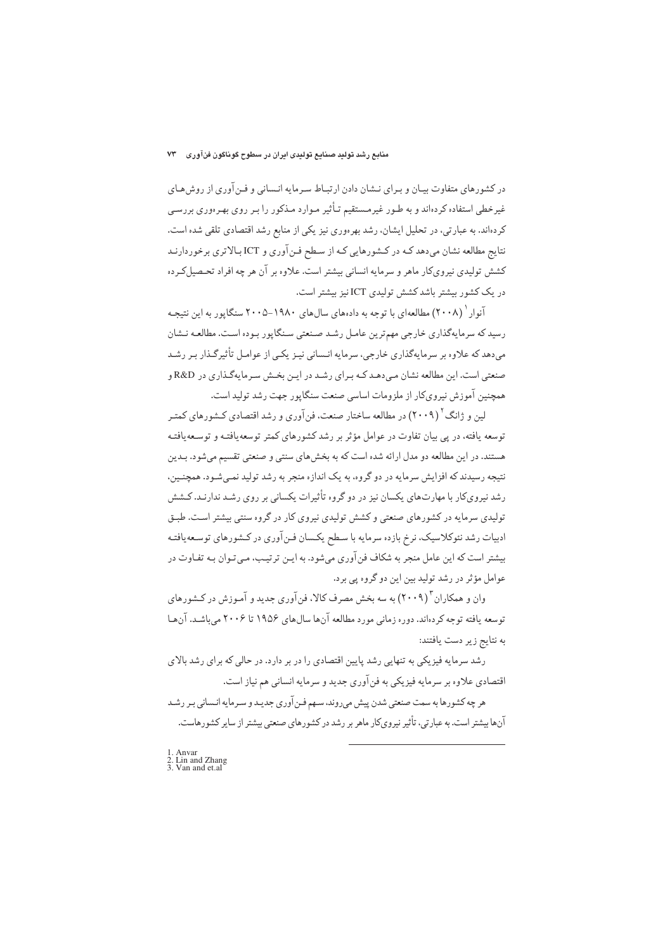در کشورهای متفاوت بیـان و بـرای نـشان دادن ارتبـاط سـرمایه انـسانی و فـن آوری از روش هـای غیرخطی استفاده کردهاند و به طـور غیرمـستقیم تـأثیر مـوارد مـذکور را بـر روی بهـرهوری بررسـی کردهاند. به عبارتی، در تحلیل ایشان، رشد بهرهوری نیز یکی از منابع رشد اقتصادی تلقی شده است. نتایج مطالعه نشان میدهد کـه در کـشورهایی کـه از سـطح فـن آوري و ICT بـالاتري برخوردارنـد کشش تولیدی نیرویکار ماهر و سرمایه انسانی بیشتر است. علاوه بر آن هر چه افراد تحـصیلکـرده در یک کشور بیشتر باشد کشش تولیدی ICT نیز بیشتر است.

آنوار ` (۲۰۰۸) مطالعهای با توجه به دادههای سالهای ۱۹۸۰–۲۰۰۵ سنگاپور به این نتیجـه رسید که سرمایهگذاری خارجی مهم ترین عامـل رشـد صـنعتی سـنگایور بـوده اسـت. مطالعـه نـشان می دهد که علاوه بر سرمایهگذاری خارجی، سرمایه انـسانی نیـز یکـی از عوامـل تأثیرگـذار بـر رشـد صنعتی است. این مطالعه نشان مبی دهـد کـه بـرای رشـد در ایـن بخـش سـرمایهگـذاری در R&D و همچنین آموزش نیرویکار از ملزومات اساسی صنعت سنگاپور جهت رشد تولید است.

لین و ژانگ<sup>۲</sup> (۲۰۰۹) در مطالعه ساختار صنعت، فن آوری و رشد اقتصادی کـشورهای کمتـر توسعه یافته، در پی بیان تفاوت در عوامل مؤثر بر رشد کشورهای کمتر توسعهیافتـه و توسـعهیافتـه هستند. در این مطالعه دو مدل ارائه شده است که به بخش های سنتی و صنعتی تقسیم می شود. بـدین نتیجه رسیدند که افزایش سرمایه در دو گروه، به یک اندازه منجر به رشد تولید نمـی شـود. همچنـین، رشد نیرویکار با مهارتهای یکسان نیز در دو گروه تأثیرات یکسانی بر روی رشـد ندارنـد. کـشش تولیدی سرمایه در کشورهای صنعتی و کشش تولیدی نیروی کار در گروه سنتی بیشتر است. طبـق ادبیات رشد نئوکلاسیک، نرخ بازده سرمایه با سطح یکسان فـن آوری در کـشورهای توسـعهیافتـه بیشتر است که این عامل منجر به شکاف فن آوری می شود. به ایـن ترتیـب، مـی تـوان بـه تفـاوت در عوامل مؤثر در رشد توليد بين اين دو گروه يې برد.

وان و همکاران "(۲۰۰۹) به سه بخش مصرف کالا، فن آوري جديد و آمـوزش در کـشورهاي توسعه یافته توجه کردهاند. دوره زمانی مورد مطالعه آنها سالهای ۱۹۵۶ تا ۲۰۰۶ میباشد. آنها به نتايج زير دست يافتند:

رشد سرمایه فیزیکی به تنهایی رشد پایین اقتصادی را در بر دارد. در حالی که برای رشد بالای اقتصادي علاوه بر سرمايه فيزيكي به فن آوري جديد و سرمايه انساني هم نياز است.

هر چه کشورها به سمت صنعتي شدن پيش ميروند، سـهم فـن آوري جديـد و سـرمايه انـساني بـر رشـد آنها بیشتر است. به عبارتی، تأثیر نیرویکار ماهر بر رشد در کشورهای صنعتی بیشتر از سایر کشورهاست.

<sup>1.</sup> Anvar<br>2. Lin and Zhang<br>3. Van and et.al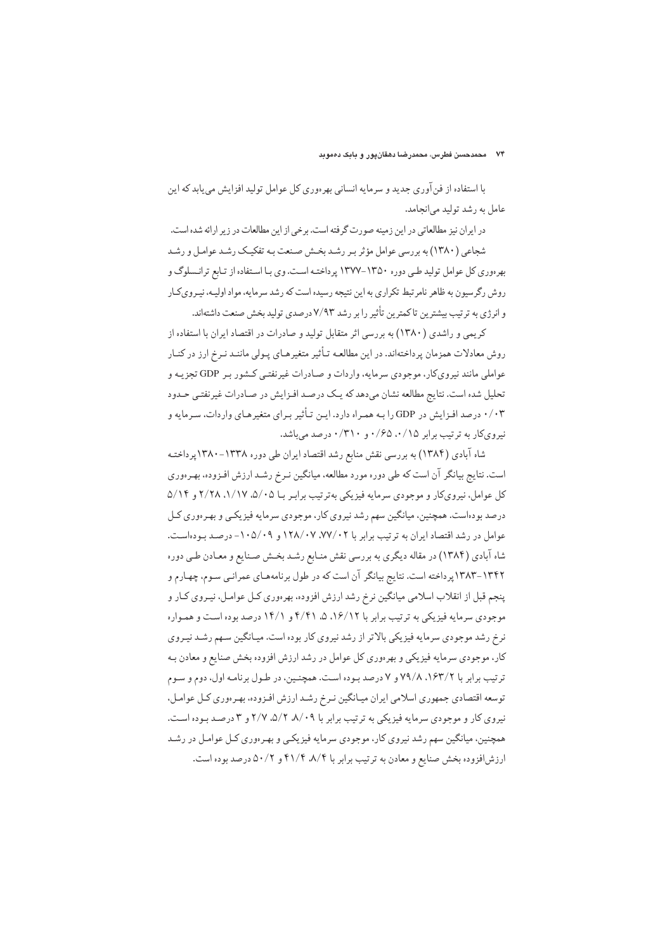با استفاده از فن آوري جديد و سرمايه انساني بهرهوري كل عوامل توليد افزايش مي يابد كه اين عامل به رشد تولید می انجامد.

در ایران نیز مطالعاتی در این زمینه صورت گرفته است. برخی از این مطالعات در زیر ارائه شده است. شجاعی (۱۳۸۰) به بررسی عوامل مؤثر بـر رشـد بخـش صـنعت بـه تفکیـک رشـد عوامـل و رشـد بهرهوری کل عوامل تولید طبی دوره ۱۳۵۰-۱۳۷۷ پرداخته است. وی بـا اسـتفاده از تـابع ترانـسلوگ و روش رگرسیون به ظاهر نامر تبط تکراری به این نتیجه رسیده است که رشد سرمایه، مواد اولیـه، نیـروی کـار و انرژی به ترتیب بیشترین تاکمترین تأثیر را بر رشد ۷/۹۳درصدی تولید بخش صنعت داشتهاند.

کریمی و راشدی (۱۳۸۰) به بررسی اثر متقابل تولید و صادرات در اقتصاد ایران با استفاده از روش معادلات همزمان پرداختهاند. در این مطالعـه تـأثیر متغیرهـای پـولی ماننـد نـرخ ارز در کنـار عواملی مانند نیرویکار، موجودی سرمایه، واردات و صـادرات غیرنفتـی کـشور بـر GDP تجزیـه و تحلیل شده است. نتایج مطالعه نشان میدهد که یک درصد افـزایش در صـادرات غیرنفتـی حـدود ۰/۰۳ درصد افـزايش در GDP را بـه همـراه دارد. ايـن تـأثير بـراي متغيرهـاي واردات، سـرمايه و نیرویکار به ترتیب برابر ۰/۶۵ .۰/۱۵ و ۰/۳۱۰ درصد می باشد.

شاه آبادي (١٣٨۴) به بررسي نقش منابع رشد اقتصاد ايران طي دوره ١٣٣٨-١٣٨٠ يرداختـه است. نتایج بیانگر آن است که طی دوره مورد مطالعه، میانگین نـرخ رشـد ارزش افـزوده، بهـرهوري کل عوامل، نیروی کار و موجودی سرمایه فیزیکی به ترتیب برابر بـا ۵/۰۵، ۱/۱۷، ۲/۲۸ و ۵/۱۴ درصد بو دهاست. همچنین، میانگین سهم رشد نیروی کار، موجودی سرمایه فیزیکبی و بهر هوری کـل عوامل در رشد اقتصاد ایران به ترتیب برابر با ۰۷۷/۰۲ ، ۱۲۸/۰۷ و ۱۰۵/۰۹- درصد بودهاست. شاه آبادی (۱۳۸۴) در مقاله دیگری به بررسی نقش منـابع رشـد بخـش صـنایع و معـادن طـی دوره ۱۳۴۲-۱۳۸۳ پرداخته است. نتایج بیانگر آن است که در طول برنامههـای عمرانـی سـوم، چهـارم و پنجم قبل از انقلاب اسلامی میانگین نرخ رشد ارزش افزوده. بهرهوری کـل عوامـل، نیـروی کـار و موجودی سرمایه فیزیکی به ترتیب برابر با ۰۱۶/۱۲ ۵، ۴/۴۱ و ۱۴/۱ درصد بوده است و همـواره نرخ رشد موجودي سرمايه فيزيكي بالاتر از رشد نيروي كار بوده است. ميـانگين سـهم رشـد نيـروي کار، موجودی سرمایه فیزیکی و بهرهوری کل عوامل در رشد ارزش افزوده بخش صنایع و معادن بـه ترتيب برابر با ١۶٣/٢، ٧٩/٨، ٧٩/٥ و درصد بوده است. همچنين، در طـول برنامـه اول، دوم و سـوم توسعه اقتصادي جمهوري اسلامي ايران ميـانگين نـرخ رشـد ارزش افـزوده، بهـرهوري كـل عوامـل، نیروی کار و موجودی سرمایه فیزیکی به ترتیب برابر با ۸/۰۹، ۲/۷، ۲/۷ و ۳ درصد بوده است. همچنین، میانگین سهم رشد نیروی کار، موجودی سرمایه فیزیکمی و بهرهوری کـل عوامـل در رشـد ارزش افزوده بخش صنایع و معادن به ترتیب برابر با ۴۱/۴ ۸/۴ و ۵۰/۲ درصد بوده است.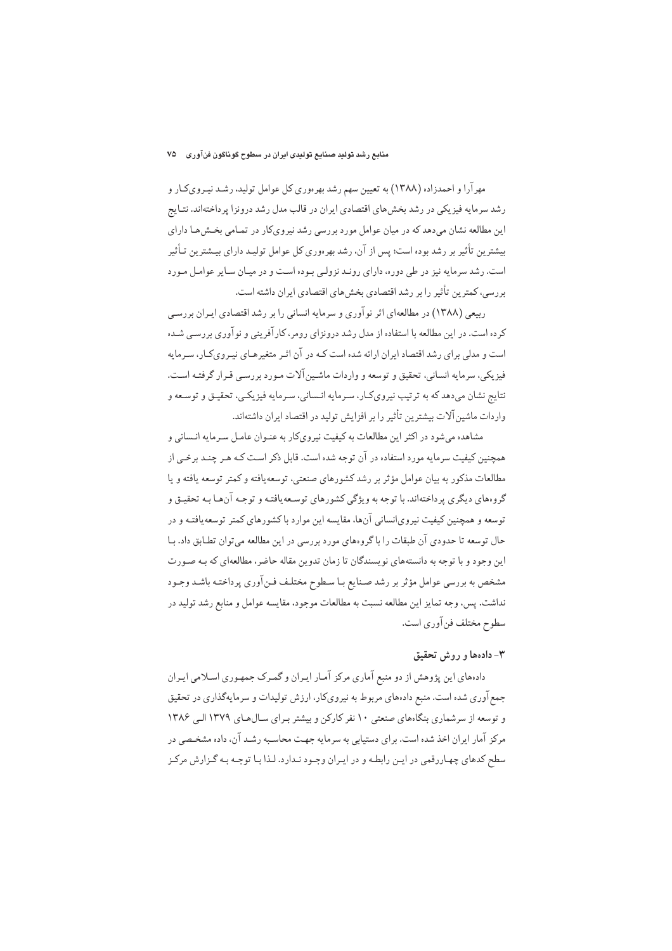#### منابع رشد تولید صنایع تولیدی ایران در سطوح گوناگون فنآوری ۷۵

مهر آرا و احمدزاده (۱۳۸۸) به تعیین سهم رشد بهرهوری کل عوامل تولید، رشـد نیـرویکـار و رشد سرمایه فیزیکی در رشد بخشهای اقتصادی ایران در قالب مدل رشد درونزا پرداختهاند. نتـایج این مطالعه نشان میدهد که در میان عوامل مورد بررسی رشد نیرویکار در تمـامی بخـش۵هـا دارای بیشترین تأثیر بر رشد بوده است؛ پس از آن، رشد بهرهوری کل عوامل تولیـد دارای بیـشترین تـأثیر است. رشد سرمایه نیز در طی دوره، دارای رونـد نزولـی بـوده اسـت و در میـان سـایر عوامـل مـورد بر رسه، کمترین تأثیر را بر رشد اقتصادی بخش های اقتصادی ایران داشته است.

ربیعی (۱۳۸۸) در مطالعهای اثر نوآوری و سرمایه انسانی را بر رشد اقتصادی ایـران بررسـی کرده است. در این مطالعه با استفاده از مدل رشد درونزای رومر، کارآفرینی و نوآوری بررسبی شـده است و مدلی برای رشد اقتصاد ایران ارائه شده است کـه در آن اثـر متغیرهـای نیـرویکـار، سـرمایه فيزيكي، سرمايه انساني، تحقيق و توسعه و واردات ماشـين آلات مـورد بررسـي قـرار گرفتـه اسـت. نتايج نشان مي دهد كه به ترتيب نيروي كـار، سـرمايه انـساني، سـرمايه فيزيكـي، تحقيـق و توسـعه و واردات ماشین آلات بیشترین تأثیر را بر افزایش تولید در اقتصاد ایران داشتهاند.

مشاهده میشود در اکثر این مطالعات به کیفیت نیرویکار به عنـوان عامـل سـرمایه انـسانی و همچنین کیفیت سرمایه مورد استفاده در آن توجه شده است. قابل ذکر است کـه هـر چنـد برخـی از مطالعات مذکور به بیان عوامل مؤثر بر رشد کشورهای صنعتی، توسعه بافته و کمتر توسعه بافته و با گروههای دیگری پرداختهاند. با توجه به ویژگی کشورهای توسعهیافتـه و توجـه آنهـا بـه تحقیـق و توسعه و همچنین کیفیت نیروی|نسانی آنها، مقایسه این موارد با کشورهای کمتر توسعه یافتـه و در حال توسعه تا حدودي آن طبقات را باگروههاي مورد بررسي در اين مطالعه مي توان تطـابق داد. بــا این وجود و با توجه به دانستههای نویسندگان تا زمان تدوین مقاله حاضر، مطالعهای که بـه صـورت مشخص به بررسي عوامل مؤثر بر رشد صنايع بـا سـطوح مختلـف فـن آوري پرداختـه باشـد وجـود نداشت. پس، وجه تمایز این مطالعه نسبت به مطالعات موجود، مقایسه عوامل و منابع رشد تولید در سطوح مختلف فن آوري است.

## ۳- دادهها و روش تحقیق

دادههای این پژوهش از دو منبع آماری مرکز آمـار ایـران و گمـرک جمهـوری اسـلامی ایـران جمع آوری شده است. منبع دادههای مربوط به نیرویکار، ارزش تولیدات و سرمایهگذاری در تحقیق و توسعه از سرشماری بنگاههای صنعتی ۱۰ نفر کارکن و بیشتر برای سال های ۱۳۷۹ البی ۱۳۸۶ مرکز آمار ایران اخذ شده است. برای دستیابی به سرمایه جهت محاسبه رشـد آن، داده مشخـصی در سطح کدهای چهاررقمی در ایـن رابطـه و در ایـران وجـود نـدارد. لـذا بـا توجـه بـه گـزارش مرکـز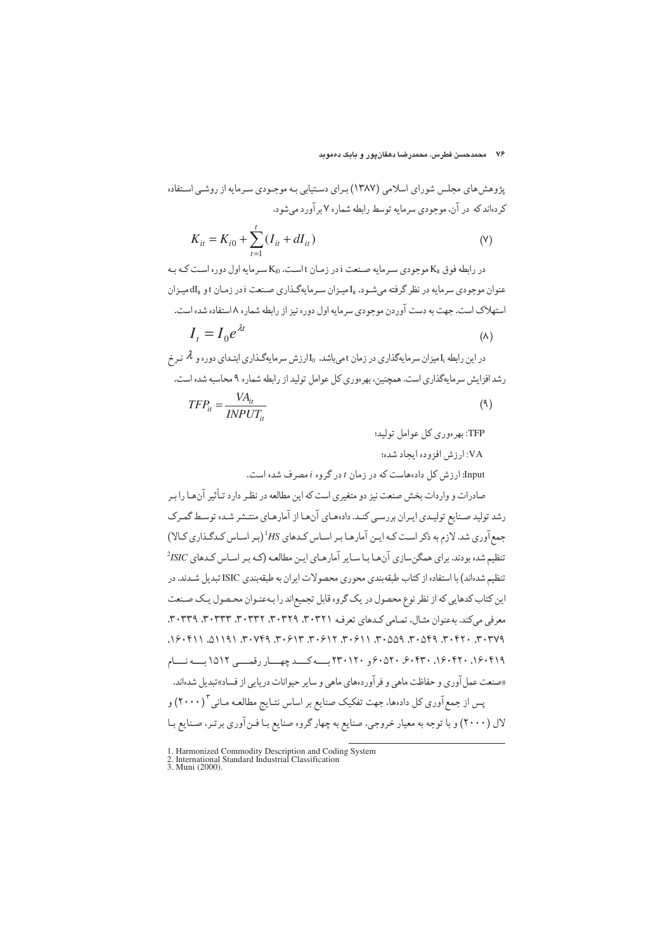پژوهش های مجلس شورای اسلامی (۱۳۸۷) برای دستیابی به موجـودی سـرمایه از روشـی اسـتفاده کر دهاند که در آن، موجودی سرمایه توسط رابطه شماره ۷ بر آورد می شود.

$$
K_{it} = K_{i0} + \sum_{t=1}^{t} (I_{it} + dI_{it})
$$
 (9)

در رابطه فوق  $\rm K_{it}$  موجودی سیرمایه صنعت i در زمیان t است.  $\rm K_{i0}$  سیرمایه اول دوره است کیه بیه عنوان موجودي سرمايه در نظر گرفته مي شـود. ،[ميـزان سـرمايهگـذاري صـنعت iدر زمـان t و dI<sub>i</sub>، هيـزان استهلاک است. جهت به دست آوردن موجودي سرمايه اول دوره نيز از رابطه شماره ٨ استفاده شده است.

$$
I_t = I_0 e^{\lambda t} \tag{A}
$$

در این رابطه ،I میزان سرمایهگذاری در زمان t می باشد.  $_{\rm J}$ ارزش سرمایهگـذاری ابتـدای دوره و A نـرخ رشد افزایش سرمایهگذاری است. همچنین، بهرهوری کل عوامل تولید از رابطه شماره ۹ محاسبه شده است.

$$
TFP_{it} = \frac{VA_{it}}{INVUT_{it}} \tag{4}
$$

TFP: په دورې کل عوامل توليد؛

VA: ارزش افزوده ایجاد شده؛

Input: ارزش کل دادههاست که در زمان t در گروه i مصرف شده است.

صادرات و واردات بخش صنعت نیز دو متغیری است که این مطالعه در نظـر دارد تـأثیر آنهـا را بـر رشد تولید صنایع تولیدی ایران بر رسے کنید. دادههای آنها از آمارهای منتشر شیده توسط گمرک جمع آوری شد. لازم به ذکر است کـه ایـن آمارهـا بـر اسـاس کـدهای HS (بـر اسـاس کـدگـذاری کـالا) تنظیم شده بودند. برای همگن سازی آن ها با سایر آمارهای این مطالعه (کـه بـر اسـاس کـدهای ISIC<sup>2</sup> تنظیم شدهاند) با استفاده از کتاب طبقهبندی محوری محصولات ایران به طبقهبندی ISIC تبدیل شـدند. در این کتاب کدهایی که از نظر نوع محصول در یک گروه قابل تجمیعاند را بهعنـوان محـصول یـک صـنعت معرفي مي كند. به عنوان مثـال، تمـامي كـدهاي تعرف ٢٠٣٢١، ٣٠٣٢٩، ٣٠٣٣٦، ٣٠٣٣٩، ٣٠٣٣٩، ٣٠٣٣٩. ٣٠٣٧٩. ٢٠٢٢٦. ٣٠٥٩٩. ٣٠٥٥٩. ٣٠٠٥١٦. ٢٠٠٥١٢. ٣٠٠٧٣٩. ٣٠٧٣٩. ١١٩١١. ١١٩١١. ٢٣٠١٩/ ١٦٠٠٤٢٠، ٢٠٠٢٢٠، ٤٠٥٢٠، ٢٣٠١٢٠، ب-4 ب-4 كيد چهسار رقعية 101٢ ب-4 نسام «صنعت عمل آوري و حفاظت ماهي و فر آوردههاي ماهي و ساير حيوانات دريايي از فساد»تبديل شدهاند. پس از جمع آوری کل دادهها، جهت تفکیک صنایع بر اساس نتـایج مطالعـه مـانی "( ۲۰۰۰) و لال (۲۰۰۰) و با توجه به معیار خروجی، صنایع به چهار گروه صنایع بـا فـن آوري برتـر، صـنایع بـا

<sup>1.</sup> Harmonized Commodity Description and Coding System<br>2. International Standard Industrial Classification<br>3. Muni (2000).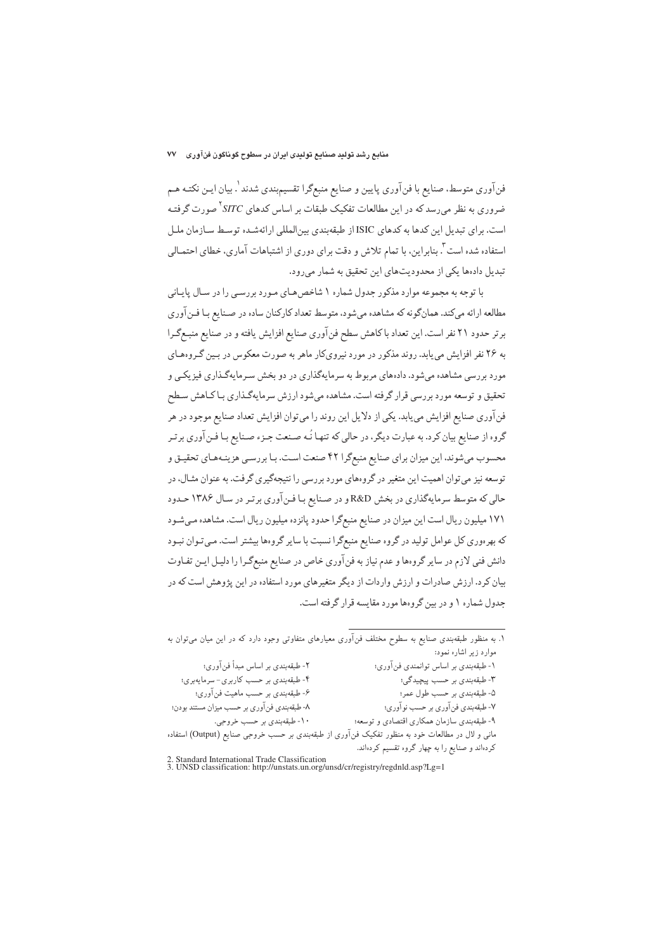فن آوري متوسط، صنايع با فن آوري پايين و صنايع منبعگرا تقسيمېندي شدند \. بيان ايـن نكتـه هـم ضروری به نظر می رسد که در این مطالعات تفکیک طبقات بر اساس کدهای SITC<sup>۲</sup> صورت گرفتـه است. برای تبدیل این کدها به کدهای ISIC از طبقهبندی بین المللی ارائهشـده توسـط سـازمان ملـل استفاده شده است آ. بنابراین، با تمام تلاش و دقت برای دوری از اشتباهات آماری، خطای احتمـالی تبدیل دادهها یکی از محدودیتهای این تحقیق به شمار می رود.

با توجه به مجموعه موارد مذکور جدول شماره ۱ شاخص هـای مـورد بررسـی را در سـال پایـانی مطالعه ارائه میکند. همانگونه که مشاهده می شود، متوسط تعداد کارکنان ساده در صـنايع بـا فـن آوري برتر حدود ۲۱ نفر است. این تعداد با کاهش سطح فن آوری صنایع افزایش یافته و در صنایع منبـع گـرا به ۲۶ نفر افزایش می پابد. روند مذکور در مورد نیرویکار ماهر به صورت معکوس در بسین گـروههـای مورد بررسی مشاهده می شود. دادههای مربوط به سرمایهگذاری در دو بخش سـرمایهگـذاری فیزیکـی و تحقیق و توسعه مورد بررسی قرار گرفته است. مشاهده میشود ارزش سرمایهگذاری بـاکـاهش سـطح فن آوري صنايع افزايش مي يابد. يكي از دلايل اين روند را مي توان افزايش تعداد صنايع موجود در هر گروه از صنایع بیان کرد. به عبارت دیگر، در حالی که تنهـا نُـه صـنعت جـزء صـنایع بـا فـن آوري برتـر محسوب میشوند، این میزان برای صنایع منبعگرا ۴۲ صنعت است. بـا بررسـی هزینـههـای تحقیـق و توسعه نیز میتوان اهمیت این متغیر در گروههای مورد بررسی را نتیجهگیری گرفت. به عنوان مثـال، در حالی که متوسط سرمایهگذاری در بخش R&D و در صنایع با فـن آوری برتـر در سـال ۱۳۸۶ حـدود ۱۷۱ میلیون ریال است این میزان در صنایع منبعگرا حدود پانزده میلیون ریال است. مشاهده میشود که بهرهوري کل عوامل توليد در گروه صنايع منبعگرا نسبت با ساير گروهها بيشتر است. مي تـوان نبـود دانش فنی لازم در سایر گروهها و عدم نیاز به فنآوری خاص در صنایع منبعگرا را دلیـل ایـن تفـاوت بیان کرد. ارزش صادرات و ارزش واردات از دیگر متغیرهای مورد استفاده در این پژوهش است که در جدول شماره ۱ و در بین گروهها مورد مقایسه قرار گرفته است.

۱. به منظور طبقهبندی صنایع به سطوح مختلف فنآوری معیارهای متفاوتی وجود دارد که در این میان می توان به موارد زیر اشاره نمود: ۲- طبقهبندي بر اساس مبدأ فنآوري؛ ۱- طبقهبندی بر اساس توانمندی فن آوری؛ ۴- طبقهبندي بر حسب كاربري- سرمايهبري؛ ۲- طبقهبندي بر حسب پيچيدگي؛ ۶- طبقهبندی بر حسب ماهیت فنآوری؛ ۵- طبقهبندي بر حسب طول عمر؛ ۷- طبقهبندي فن آوري بر حسب نو آوري؛ ۸- طبقهبندي فن آوري بر حسب ميزان مستند بودن؛ ۱۰-طبقهبندي بر حسب خروجي. ۹- طبقهبندي سازمان همکاري اقتصادي و توسعه؛ مانی و لال در مطالعات خود به منظور تفکیک فنآوری از طبقهبندی بر حسب خروجی صنایع (Output) استفاده کردهاند و صنایع را به چهار گروه تقسیم کردهاند.

<sup>2.</sup> Standard International Trade Classification<br>3. UNSD classification: http://unstats.un.org/unsd/cr/registry/regdnld.asp?Lg=1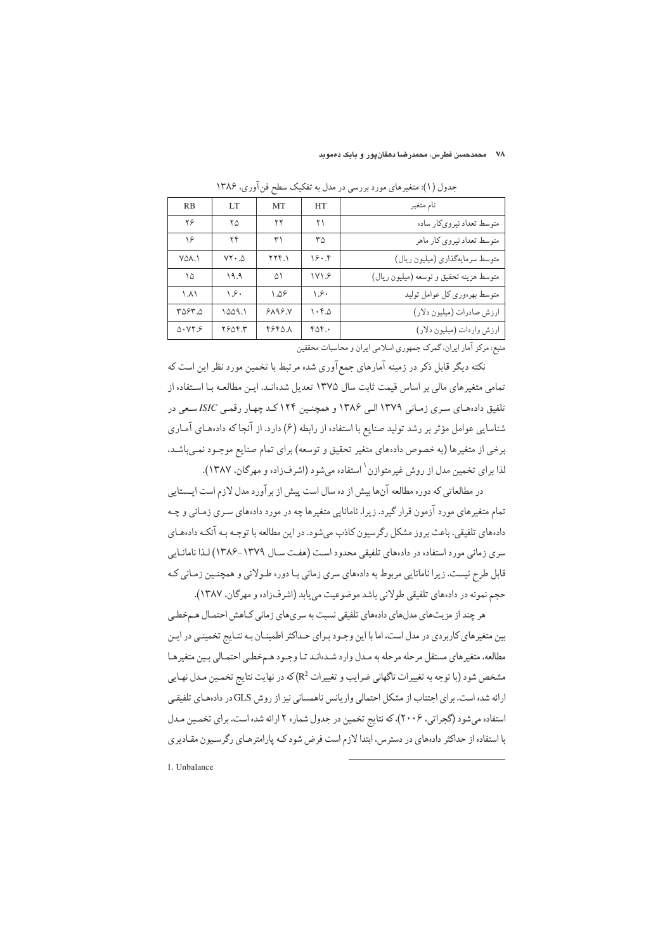#### .<br>۷۸ - محمدحسن فطرس، محمدرضنا دهقانپور و بابک د*ه*موبد

| RB     | LT.               | <b>MT</b>              | <b>HT</b>                       | نام متغير                               |
|--------|-------------------|------------------------|---------------------------------|-----------------------------------------|
| ۲۶     | ۲۵                | ۲۲                     | ۲۱                              | متوسط تعداد نیروی کار ساده              |
| ۱۶     | ۲۴                | ۳۱                     | ٣۵                              | متوسط تعداد نیروی کار ماهر              |
| VOA.I  | $VY \cdot \Delta$ | 774.1                  | 19.9                            | متوسط سرمايهگذاري (ميليون ريال)         |
| ۱۵     | ۹.۹               | ۵١                     | 1V1.9                           | متوسط هزينه تحقيق و توسعه (ميليون ريال) |
| ۱.۸۱   | ۰۶۰               | $\Lambda$ . $\Delta$ ۶ | ۱.۶۰                            | متوسط بهرهوري كل عوامل توليد            |
| ۳۵۶۳.۵ | ۱۵۵۹.۱            | 9199.5                 | $\mathcal{N} \cdot \mathcal{F}$ | ارزش صادرات (میلیون دلار)               |
| 0.979  | 7804.7            | 48401                  | 606.                            | ارزش واردات (ميليون دلار)               |
|        |                   |                        |                                 |                                         |

جدول (۱): متغیرهای مورد بررسی در مدل به تفکیک سطح فن آوری، ۱۳۸۶

منبع: مرکز آمار ایران، گمرک جمهوری اسلامی ایران و محاسبات محققین

نکته دیگر قابل ذکر در زمینه آمارهای جمع آوری شده مرتبط با تخمین مورد نظر این است که تمامی متغیرهای مالی بر اساس قیمت ثابت سال ۱۳۷۵ تعدیل شدهانـد. ایـن مطالعـه بـا اسـتفاده از تلفیق دادههای سری زمانی ۱۳۷۹ البی ۱۳۸۶ و همچنین ۱۲۴ کـد چهـار رقمـی ISIC سـعی در شناسایی عوامل مؤثر بر رشد تولید صنایع با استفاده از رابطه (۶) دارد. از آنجا که دادههای آمـاری برخی از متغیرها (به خصوص دادههای متغیر تحقیق و توسعه) برای تمام صنایع موجـود نمـیباشـد. لذا براي تخمين مدل از روش غيرمتوازن ٰ استفاده مي شود (اشرف;اده و مهرگان، ١٣٨٧).

در مطالعاتی که دوره مطالعه آنها بیش از ده سال است پیش از برآورد مدل لازم است ایسستایی تمام متغیرهای مورد آزمون قرار گیرد. زیرا، نامانایی متغیرها چه در مورد دادههای سـری زمـانی و چـه دادههای تلفیقی، باعث بروز مشکل رگرسیون کاذب می شود. در این مطالعه با توجـه بـه آنکـه دادههـای سری زمانی مورد استفاده در دادههای تلفیقی محدود است (هفت سال ۱۳۷۹-۱۳۸۶) لـذا نامانـايي قابل طرح نیست. زیرا نامانایی مربوط به دادههای سری زمانی بـا دوره طـولانی و همچنـین زمـانی کـه حجم نمونه در دادههاي تلفيقي طولاني باشد موضوعيت مي يابد (اشرفزاده و مهركان، ١٣٨٧).

هر چند از مزیتهای مدلهای دادههای تلفیقی نسبت به سریهای زمانی کـاهش احتمـال هـمخطـی بین متغیرهای کاربردی در مدل است، اما با این وجـود بـرای حـداکثر اطمینـان بـه نتـایج تخمینـی در ایـن مطالعه، متغیرهای مستقل مرحله مرحله به مدل وارد شـدهانـد تـا وجـود هـمخطـي احتمـالي بـین متغیرهـا مشخص شود (با توجه به تغییرات ناگهانی ضرایب و تغییرات  $\mathbb{R}^2$ که در نهایت نتایج تخمین مـدل نهـایی ارائه شده است. برای اجتناب از مشکل احتمالی واریانس ناهمسانی نیز از روش GLS در دادههای تلفیقی استفاده می شود (گجراتی، ۲۰۰۶)، که نتایج تخمین در جدول شماره ۲ ارائه شده است. برای تخمین مدل با استفاده از حداکثر دادههای در دسترس، ابتدا لازم است فرض شود کـه پارامترهـای رگرسـیون مقـادیری

1. Unbalance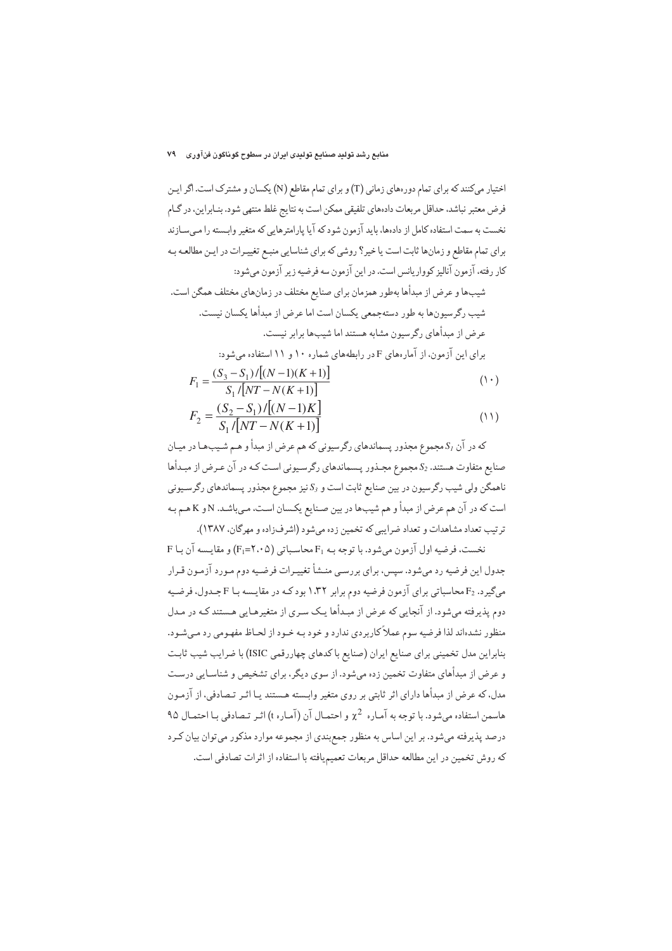شیبها و عرض از مبدأها بهطور همزمان برای صنایع مختلف در زمانهای مختلف همگن است. شيب رگرسيونها به طور دستهجمعي يكسان است اما عرض از مبدأها يكسان نيست. عرض از میداُهای رگرسیون مشابه هستند اما شب ها برابر نیست. برای این آزمون، از آمارههای F در رابطههای شماره ۱۰ و ۱۱ استفاده میشود:

$$
F_1 = \frac{(S_3 - S_1)/[(N-1)(K+1)]}{S_1/[NT - N(K+1)]}
$$
\n(1)

$$
F_2 = \frac{(S_2 - S_1)/[(N-1)K]}{S_1/[NT - N(K+1)]}
$$
\n(1)

که در آن S1 مجموع مجذور یسماندهای رگرسیونی که هم عرض از مبدأ و هـم شـیبهـا در میـان صنایع متفاوت هستند. 2 مجموع مجـذور پـسماندهای رگرسـیونی اسـت کـه در آن عـرض از مبـدأها ناهمگن ولی شیب رگرسیون در بین صنایع ثابت است و S3 نیز مجموع مجذور پسماندهای رگرسـیونی است که در آن هم عرض از مبدأ و هم شيبها در بين صـنايع يکـسان اسـت، مـيباشـد. Nو K هـم بـه ترتيب تعداد مشاهدات و تعداد ضرابي كه تخمين زده مرشود (اشرفزاده و مهرگان، ۱۳۸۷).

 $F$  نخست، فرضيه اول آزمون مي شود. با توجه بـه  $F_1$  محاسـباتي (٢،٠٥) و مقايسه آن بـا جدول این فرضیه رد می شود. سپس، برای بررسی منـشأ تغییـرات فرضـیه دوم مـورد آزمـون قـرار میگیرد. F2 محاسباتی برای آزمون فرضیه دوم برابر ۱٬۳۲ بود کـه در مقایـسه بـا F جـدول، فرضـیه دوم پذیرفته میشود. از آنجایی که عرض از مبدأها یک سری از متغیرهـایی هـستند کـه در مـدل منظور نشدهاند لذا فرضیه سوم عملاً کاربردی ندارد و خود بـه خـود از لحـاظ مفهـومی رد مـیشـود. بنابراین مدل تخمینی برای صنایع ایران (صنایع باکدهای چهاررقمی ISIC) با ضرایب شیب ثابت و عرض از مبدأهای متفاوت تخمین زده می شود. از سوی دیگر، برای تشخیص و شناسایی درست مدل، که عرض از مبدأها داراي اثر ثابتي بر روي متغير وابسته هـستند يـا اثـر تـصادفي، از آزمـون هاسمن استفاده می شود. با توجه به آماره  $\chi^2$  و احتمـال آن (آمـاره t) اثـر تـصادفی بـا احتمـال ۹۵ درصد پذیرفته می شود. بر این اساس به منظور جمع بندی از مجموعه موارد مذکور می توان بیان کـرد كه روش تخمين در اين مطالعه حداقل مربعات تعميميافته با استفاده از اثرات تصادفي است.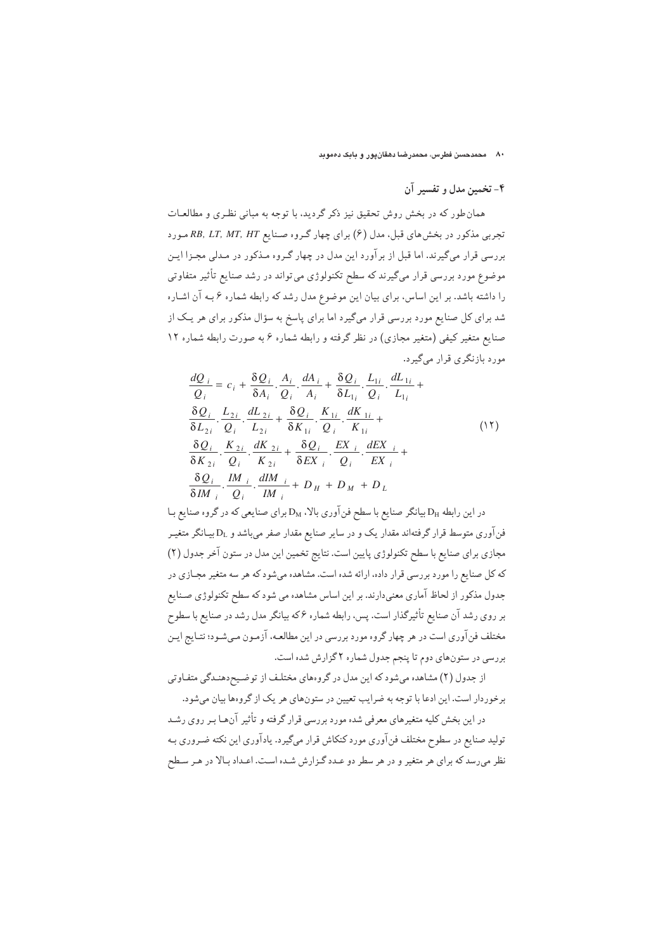### ۴- تخمین مدل و تفسیر آن

همان طور که در بخش روش تحقیق نیز ذکر گردید، با توجه به مبانی نظری و مطالعـات تجربی مذکور در بخش های قبل، مدل (۶) برای چهار گروه صنایع RB, LT, MT, HT مورد بررسی قرار میگیرند. اما قبل از برآورد این مدل در چهار گـروه مـذکور در مـدلی مجـزا ایـن موضوع مورد بررسی قرار میگیرند که سطح تکنولوژی می تواند در رشد صنایع تأثیر متفاوتی را داشته باشد. بر این اساس، برای بیان این موضوع مدل رشد که رابطه شماره ۶ بـه آن اشـاره شد برای کل صنایع مورد بررسی قرار میگیرد اما برای پاسخ به سؤال مذکور برای هر یک از صنایع متغیر کیفی (متغیر مجازی) در نظر گرفته و رابطه شماره ۶ به صورت رابطه شماره ۱۲ مورد بازنگری قرار می گیرد.

$$
\frac{dQ_{i}}{Q_{i}} = c_{i} + \frac{\delta Q_{i}}{\delta A_{i}} \cdot \frac{A_{i}}{Q_{i}} \cdot \frac{dA_{i}}{A_{i}} + \frac{\delta Q_{i}}{\delta L_{1i}} \cdot \frac{L_{1i}}{Q_{i}} \cdot \frac{dL_{1i}}{L_{1i}} + \frac{\delta Q_{i}}{\delta L_{2i}} \cdot \frac{L_{2i}}{L_{2i}} \cdot \frac{dL_{2i}}{L_{2i}} + \frac{\delta Q_{i}}{\delta K_{1i}} \cdot \frac{K_{1i}}{Q_{i}} \cdot \frac{dK_{1i}}{K_{1i}} + \frac{\delta Q_{i}}{\delta K_{2i}} \cdot \frac{K_{2i}}{Q_{i}} \cdot \frac{dK_{2i}}{K_{2i}} + \frac{\delta Q_{i}}{\delta E X_{i}} \cdot \frac{E X_{i}}{Q_{i}} \cdot \frac{dE X_{i}}{E X_{i}} + \frac{\delta Q_{i}}{\delta E X_{i}} \cdot \frac{K_{2i}}{Q_{i}} \cdot \frac{dK_{2i}}{K_{2i}} + \frac{\delta Q_{i}}{\delta E X_{i}} \cdot \frac{dK_{i}}{Q_{i}} \cdot \frac{dK_{i}}{E X_{i}} + \frac{\delta Q_{i}}{\delta M_{i}} \cdot \frac{dM_{i}}{Q_{i}} \cdot \frac{dM_{i}}{M_{i}} + D_{H} + D_{M} + D_{L}
$$
\n(17)

در این رابطه D<sub>H</sub> بیانگر صنایع با سطح فن آوری بالا، D<sub>M</sub> برای صنایعی که در گروه صنایع بـا فنآوری متوسط قرار گرفتهاند مقدار یک و در سایر صنایع مقدار صفر میباشد و D<sub>L</sub> بیـانگر متغیـر مجازي براي صنايع با سطح تكنولوژي پايين است. نتايج تخمين اين مدل در ستون آخر جدول (٢) که کل صنایع را مورد بررسی قرار داده، ارائه شده است. مشاهده میشود که هر سه متغیر مجـازی در جدول مذکور از لحاظ آماری معنیدارند. بر این اساس مشاهده می شود که سطح تکنولوژی صـنایع بر روی رشد آن صنایع تأثیرگذار است. پس، رابطه شماره ۶که بیانگر مدل رشد در صنایع با سطوح مختلف فن آوري است در هر چهار گروه مورد بررسي در اين مطالعـه، آزمـون مـي شـود؛ نتـايج ايـن بررسی در ستونهای دوم تا پنجم جدول شماره ۲ گزارش شده است.

از جدول (۲) مشاهده میشود که این مدل در گروههای مختلف از توضیح،دهنـدگی متفـاوتی برخوردار است. این ادعا با توجه به ضرایب تعیین در ستونهای هر یک از گروهها بیان می شود.

در این بخش کلیه متغیرهای معرفی شده مورد بررسی قرار گرفته و تأثیر آنهـا بـر روی رشـد تولید صنایع در سطوح مختلف فن آوری مورد کنکاش قرار میگیرد. یادآوری این نکته ضـروری بـه نظر می رسد که برای هر متغیر و در هر سطر دو عـدد گـزارش شـده اسـت. اعـداد بـالا در هـر سـطح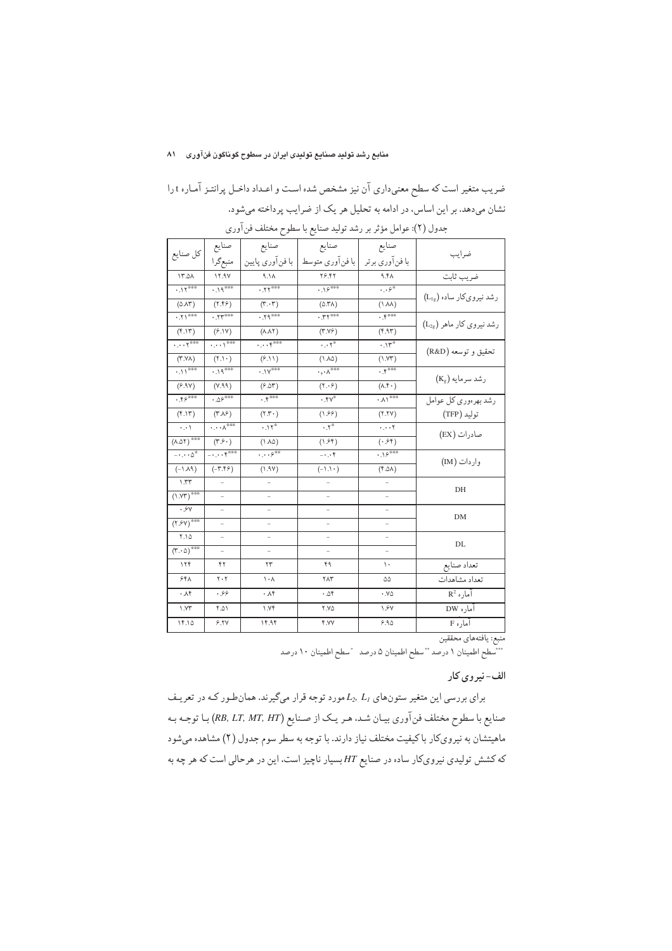## منابع رشد تولید صنایع تولیدی ایران در سطوح گوناگون فنآوری ۸۱

ضریب متغیر است که سطح معنیداری آن نیز مشخص شده است و اعـداد داخـل پرانتـز آمـاره t را نشان میدهد. بر این اساس، در ادامه به تحلیل هر یک از ضرایب پرداخته میشود.

| كل صنايع                                          | صنايع                                       | صنايع                            | صنايع                                     | صنايع                                  | ضرايب                                |
|---------------------------------------------------|---------------------------------------------|----------------------------------|-------------------------------------------|----------------------------------------|--------------------------------------|
|                                                   | منبعگرا                                     | با فنآوري پايين                  | إبا فنآوري متوسط                          | با فنآوري برتر                         |                                      |
| ۱۳.۵۸                                             | 17.9V                                       | A.A.                             | <b>79.47</b>                              | 9.5A                                   | ضريب ثابت                            |
| $.11^{\circ\circ\circ}$                           | $.19***$                                    | $.77***$                         | .19000                                    | $\cdot$ . $\varphi^{\circ}$            | رشد نیرویکار ساده (L <sub>1g</sub> ) |
| (0.15)                                            | (7.59)                                      | $(\tau \cdot \tau)$              | $(\Delta.\mathsf{TA})$                    | $(\lambda \sqrt{2})$                   |                                      |
| $\cdot$ . $\mathsf{M}^{\circ\circ\circ}$          | .55                                         | $.79***$                         | $.77***$                                  | $\cdot$ $\uparrow$ <sup>000</sup>      | رشد نیروی کار ماهر (L2g)             |
| $(f.\mathcal{N})$                                 | (6.1Y)                                      | $(\wedge \wedge \wedge)$         | (Y.YF)                                    | (9.95)                                 |                                      |
| $\cdots$ $\zeta$                                  | $\cdots$ $\cdots$                           | $\cdots$ $\zeta^{000}$           | $\cdot \cdot \cdot^*$                     | $.1r^*$                                | تحقيق وتوسعه (R&D)                   |
| $(Y.Y\lambda)$                                    | $(1 \cdot)$                                 | (6.11)                           | $(\lambda \wedge \Delta)$                 | (1.97)                                 |                                      |
| .11                                               | $.19***$                                    | $\cdot$ . $14^{\circ\circ\circ}$ | $\cdot, \cdot \wedge^{\circ \circ \circ}$ | $.$ $\uparrow$ <sup>000</sup>          | رشد سرمایه (Kg)                      |
| (9.9Y)                                            | (Y.A.9)                                     | (6.05)                           | (5.66)                                    | $(\wedge \wedge \cdot)$                |                                      |
| $.75^{\circ\circ\circ}$                           | $.05***$                                    | $\cdot$ , $\zeta$ and            | $. \overline{YV}$                         | $\cdot$ V $_{\circ\circ\circ}$         | ر شد بھر ہوری کل عوامل               |
| $(f.\mathcal{N})$                                 | $(\Upsilon \Lambda)$                        | $(Y.\Upsilon)$                   | (1.99)                                    | (Y.YY)                                 | توليد (TFP)                          |
| $\cdot$ , $\cdot$ $\backslash$                    | $\cdots\wedge^{\circ\circ\circ}$            | .11                              | $\cdot \cdot^{\circ}$                     | $\cdots$                               | صادرات (EX)                          |
| $(\Lambda.\Delta\Upsilon)$ ***                    | $(\mathbf{r}.\mathbf{\hat{y}}\cdot)$        | $(1 \wedge \Delta)$              | $(\uplambda \mathcal{S}^{\ast})$          | $(\cdot\, \mathcal{S}^{\mathfrak{p}})$ |                                      |
| $- \cdot \cdot \cdot 0^{\circ}$                   | $- \cdot \cdot \cdot f^{\circ \circ \circ}$ | $\cdots e^{\infty}$              | $-0.05$                                   | .19000                                 | وار دات (IM)                         |
| $(-\Lambda\Lambda\mathfrak{q})$                   | $(-\mathsf{r}.\mathsf{r}\mathsf{r})$        | (1.9Y)                           | $(-1.1)$                                  | (6.2)                                  |                                      |
| $\lambda$ .۳۳                                     |                                             |                                  |                                           |                                        | DH                                   |
| $(1. YT)^{***}$                                   | $\overline{a}$                              | $\overline{a}$                   | ÷                                         | $\overline{a}$                         |                                      |
| .94                                               |                                             |                                  | ÷.                                        |                                        | DM                                   |
| $(\mathsf{Y}, \mathsf{Y})$ <sup>***</sup>         | $\overline{a}$                              | $\overline{\phantom{0}}$         | $\overline{\phantom{0}}$                  | $\overline{\phantom{0}}$               |                                      |
| $Y.\Delta$                                        | $\overline{a}$                              | ÷.                               | ÷                                         | ÷.                                     | DL                                   |
| $\overline{(\Upsilon \cdot \Delta)}^{\text{max}}$ |                                             | ÷.                               | ÷                                         | $\overline{a}$                         |                                      |
| ۱۲۴                                               | ۴۲                                          | ۲۳                               | ۴۹                                        | ١.                                     | تعداد صنايع                          |
| ۶۴۸                                               | $\mathbf{y} \cdot \mathbf{y}$               | $\cdot \wedge$                   | ۲۸۳                                       | ۵۵                                     | تعداد مشاهدات                        |
| ۰۸۴                                               | . 99                                        | ۰۸۴                              | ۰.۵۴                                      | $\cdot$ . Y $\circ$                    | $R^2$ آماره                          |
| $\gamma$                                          | 10.7                                        | $\gamma$                         | <b>Y.YO</b>                               | 1.9Y                                   | آماره DW                             |
| 14.10                                             | 9.7V                                        | ۱۴.۹۴                            | <b>F.YY</b>                               | 9.90                                   | آماره F                              |
|                                                   |                                             |                                  |                                           |                                        |                                      |

| جدول (٢): عوامل مؤثر بر رشد توليد صنايع با سطوح مختلف فن[وري |  |  |  |  |  |  |  |  |  |
|--------------------------------------------------------------|--|--|--|--|--|--|--|--|--|
|--------------------------------------------------------------|--|--|--|--|--|--|--|--|--|

منبع: یافتههای محققین<br>\*\*\*سطح اطمینان ١ درصد \*\*سطح اطمینان ۵ درصد \*سطح اطمینان ١٠ درصد

## الف-نيروي كار

برای بررسی این متغیر ستونهای  $L_2,\ L_1$ مورد توجه قرار میگیرند. همانطور کـه در تعریـف صنايع با سطوح مختلف فن آوري بيـان شـد. هـر يـك از صـنايع (RB, LT, MT, HT) بـا توجـه بـه ماهیتشان به نیرویکار با کیفیت مختلف نیاز دارند. با توجه به سطر سوم جدول (۲) مشاهده میشود که کشش تولیدی نیرویکار ساده در صنایع HT بسیار ناچیز است، این در هرحالی است که هر چه به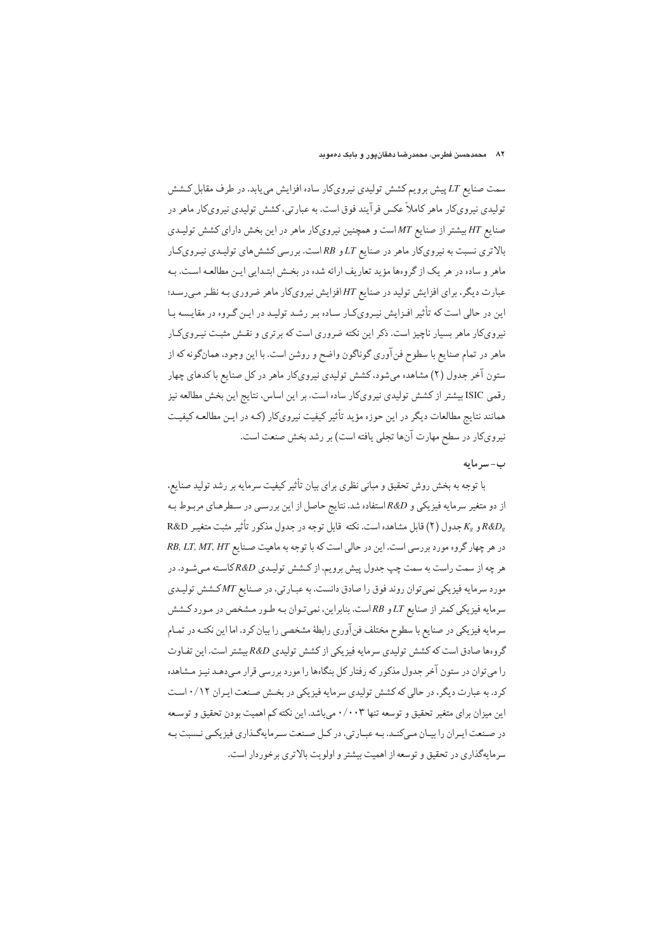سمت صنایع LT پیش برویم کشش تولیدی نیرویکار ساده افزایش می پابد. در طرف مقابل کشش تولیدی نیرویکار ماهر کاملاً عکس فرآیند فوق است. به عبارتی، کشش تولیدی نیرویکار ماهر در صنایع HT بیشتر از صنایع MT است و همچنین نیرویکار ماهر در این بخش دارای کشش تولیـدی بالاتری نسبت به نیرویکار ماهر در صنایع LT و RB است. بررسی کشش های تولیدی نیرویکار ماهر و ساده در هر یک از گروهها مؤید تعاریف ارائه شده در بخش ابتـدایی ایـن مطالعـه اسـت. بـه عبارت دیگر، برای افزایش تولید در صنایع HT افزایش نیروی کار ماهر ضروری بـه نظـر مـی رسـد؛ این در حالی است که تأثیر افـزایش نیـرویکـار سـاده بـر رشـد تولیـد در ایـن گـروه در مقایـسه بـا نیروی کار ماهر بسیار ناچیز است. ذکر این نکته ضروری است که برتری و نقـش مثبـت نیـروی کـار ماهر در تمام صنایع با سطوح فن آوری گوناگون واضح و روشن است. با این وجود، همانگونه که از ستون آخر جدول (۲) مشاهده میشود، کشش تولیدی نیرویکار ماهر در کل صنایع با کدهای چهار رقمي ISIC بيشتر از كشش توليدي نيرويكار ساده است. بر اين اساس، نتايج اين بخش مطالعه نيز همانند نتایج مطالعات دیگر در این حوزه مؤید تأثیر کیفیت نیرویکار (کـه در ایـن مطالعـه کیفیـت نیرویکار در سطح مهارت آنها تجلی یافته است) بر رشد بخش صنعت است.

## ب-سرمايه

با توجه به بخش روش تحقیق و مبانی نظری برای بیان تأثیر کیفیت سرمایه بر رشد تولید صنایع، از دو متغیر سرمایه فیزیکی و R&D استفاده شد. نتایج حاصل از این بررسـی در سـطرهـای مربـوط بـه R&D و Kg جدول (٢) قابل مشاهده است. نكته قابل توجه در جدول مذكور تأثير مثبت متغيـر R&D در هر چهار گروه مورد بررسی است. این در حالی است که با توجه به ماهیت صـنایع RB, LT, MT, HT هر چه از سمت راست به سمت چپ جدول پیش برویم، از کـشش تولیـدي R&Dکاسـته مـيشـود. در مورد سرمايه فيزيكي نمي توان روند فوق را صادق دانست. به عبـارتي، در صـنايع MTكـشش توليـدي سرمایه فیزیکی کمتر از صنایع LT و RB است. بنابراین، نمیتوان بـه طـور مـشخص در مـورد کـشش سرمایه فیزیکی در صنایع با سطوح مختلف فنآوری رابطهٔ مشخصی را بیان کرد. اما این نکتـه در تمـام گروهها صادق است که کشش تولیدی سرمایه فیزیکی از کشش تولیدی R&D بیشتر است. این تفـاوت را می توان در ستون آخر جدول مذکور که رفتار کل بنگاهها را مورد بررسی قرار مے دهـد نیـز مـشاهده کرد. به عبارت دیگر، در حالی که کشش تولیدی سرمایه فیزیکی در بخش صنعت ایـران ۰/۱۲ اسـت این میزان برای متغیر تحقیق و توسعه تنها ۰/۰۰۳ می باشد. این نکته کم اهمیت بودن تحقیق و توسیعه در صنعت ايران را بيان ميكنـد. بـه عبـارتي، در كـل صـنعت سـرمايهگـذاري فيزيكـي نـسبت بـه سرمایهگذاری در تحقیق و توسعه از اهمیت بیشتر و اولویت بالاتری برخوردار است.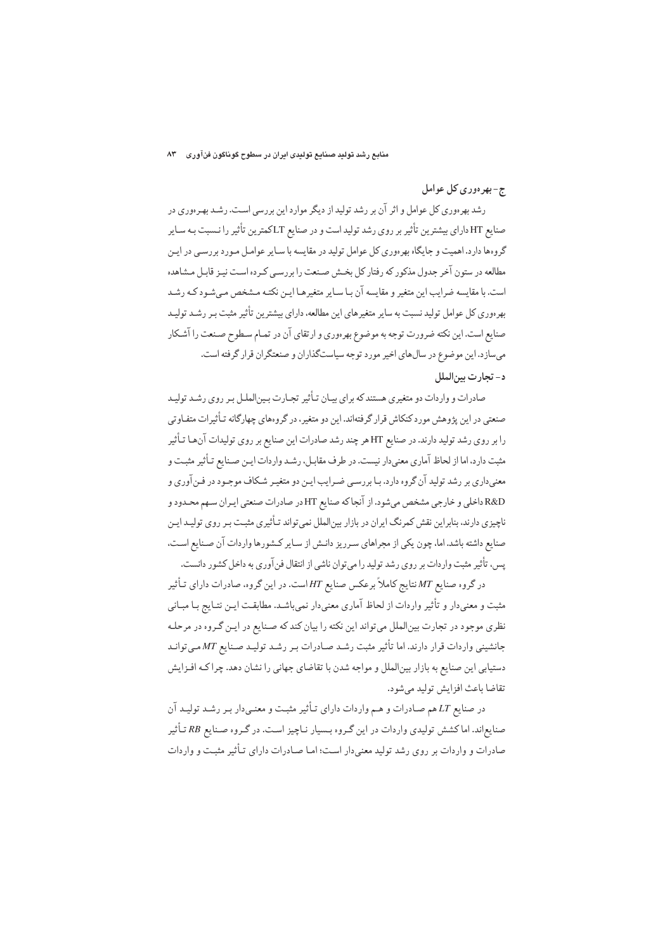# ج-بهرهوري كل عوامل

رشد بهرهوري كل عوامل و اثر آن بر رشد توليد از ديگر موارد اين بررسي است. رشـد بهـرهوري در صنایع HT دارای بیشترین تأثیر بر روی رشد تولیداست و در صنایع LTکمترین تأثیر را نـسبت بـه سـایر گروهها دارد. اهمیت و جایگاه بهرهوری کل عوامل تولید در مقایسه با سـایر عوامـل مـورد بررسـی در ایـن مطالعه در ستون آخر جدول مذکور که رفتار کل بخـش صـنعت را بررسـي کـر ده اسـت نيـز قابـل مـشاهده است. با مقايسه ضرايب اين متغير و مقايسه آن بـا سـاير متغيرهـا ايـن نكتـه مـشخص مـى شـود كـه رشـد بهر دوری کل عوامل تولید نسبت به سایر متغیرهای این مطالعه، دارای بیشترین تأثیر مثبت بـر رشـد تولیـد صنایع است. این نکته ضرورت توجه به موضوع بهرهوری و ارتقای آن در تمـام سـطوح صـنعت را آشـکار می سازد. این موضوع در سال های اخیر مورد توجه سیاستگذاران و صنعتگران قرار گرفته است. د- تجارت بين الملل

صادرات و واردات دو متغیری هستند که برای بیـان تـأثیر تجـارت بـین|لملـل بـر روی رشـد تولیـد صنعتی در این یژوهش مورد کنکاش قرار گرفتهاند. این دو متغیر، در گروههای چهارگانه تـأثیرات متفـاوتی را بر روی رشد تولید دارند. در صنایع HT هر چند رشد صادرات این صنایع بر روی تولیدات آنها تـأثیر مثبت دارد، اما از لحاظ آماری معنیدار نیست. در طرف مقابـل، رشـد واردات ایـن صـنایع تـأثیر مثبـت و معنیداری بر رشد تولید آن گروه دارد. بـا بررسـی ضـرایب ایـن دو متغیـر شـكاف موجـود در فـن آوري و R&D داخلي و خارجي مشخص ميشود. از آنجا كه صنايع HT در صادرات صنعتي ايـران سـهم محـدود و ناچیزی دارند، بنابراین نقش کمرنگ ایران در بازار بینالملل نمی تواند تـأثیری مثبـت بـر روی تولیـد ایـن صنایع داشته باشد. اما، چون یکی از مجراهای سرریز دانـش از سـایر کـشورها واردات آن صـنایع اسـت، یس، تأثیر مثبت واردات بر روی رشد تولید را می توان ناشی از انتقال فن آوری به داخل کشور دانست.

در گروه صنایع MT نتایج کاملاً برعکس صنایع HT است. در این گروه، صادرات دارای تـأثیر مثبت و معنىدار و تأثير واردات از لحاظ آماري معنىدار نمى باشـد. مطابقـت ايـن نتـايج بـا مبـاني نظري موجود در تجارت بين|لملل مي تواند اين نكته را بيان كند كه صـنايع در ايـن گـروه در مرحلـه جانشینی واردات قرار دارند. اما تأثیر مثبت رشـد صـادرات بـر رشـد تولیـد صـنایع MT مـی توانـد دستیابی این صنایع به بازار بینالملل و مواجه شدن با تقاضای جهانی را نشان دهد. چراکـه افـزایش تقاضا باعث افزايش توليد مي شود.

در صنایع LT هم صـادرات و هـم واردات داراي تـأثير مثبـت و معنـيدار بـر رشـد توليـد آن صنایع اند. اما کشش تولیدی واردات در این گروه بسیار نـاچیز اسـت. در گـروه صـنایع RB تـأثیر صادرات و واردات بر روی رشد تولید معنی دار است؛ امـا صـادرات دارای تـأثیر مثبـت و واردات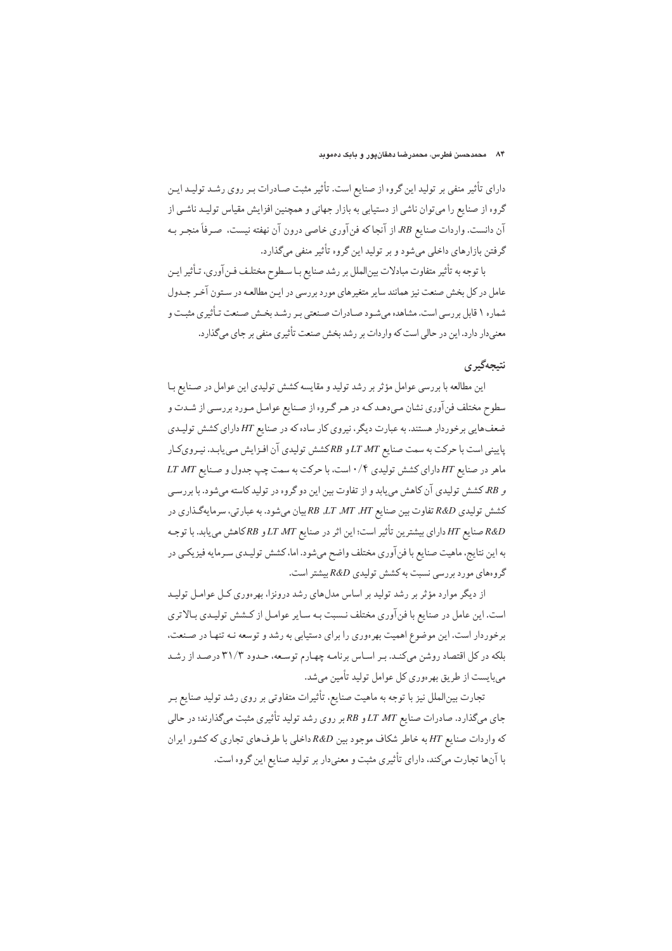دارای تأثیر منفی بر تولید این گروه از صنایع است. تأثیر مثبت صـادرات بـر روی رشـد تولیـد ایـن گروه از صنایع را میتوان ناشی از دستیابی به بازار جهانی و همچنین افزایش مقیاس تولیـد ناشـی از آن دانست. واردات صنایع RB از آنجاکه فن آوری خاصی درون آن نهفته نیست، صـرفاً منجـر بـه گرفتن بازارهای داخلی میشود و بر تولید این گروه تأثیر منفی میگذارد.

با توجه به تأثير متفاوت مبادلات بينالملل بر رشد صنايع بـا سـطوح مختلـف فـنآوري، تـأثير ايـن .<br>عامل در کل بخش صنعت نیز همانند سایر متغیرهای مورد بررسی در ایـن مطالعـه در سـتون آخـر جـدول شماره ۱ قابل بررسی است. مشاهده می شـود صـادرات صـنعتی بـر رشـد بخـش صـنعت تـأثیری مثبـت و معنی دار دارد. این در حالی است که واردات بر رشد بخش صنعت تأثیری منفی بر جای میگذارد.

## نتىجەگىر ي

این مطالعه با بررسی عوامل مؤثر بر رشد تولید و مقایسه کشش تولیدی این عوامل در صـنایع بـا سطوح مختلف فن آوري نشان مي دهـد كـه در هـر گـروه از صـنايع عوامـل مـورد بررسـي از شـدت و ضعفهایی برخوردار هستند. به عبارت دیگر، نیروی کار ساده که در صنایع HT دارای کشش تولیـدی پایینی است با حرکت به سمت صنایع LT MT و RBکشش تولیدی آن افـزایش مـی یابـد. نیـرویکـار ماهر در صنايع HT داراي كشش توليدي ۰/۴ است، با حركت به سمت چپ جدول و صنايع LT MT و RB، کشش تولیدی آن کاهش می پابد و از تفاوت بین این دو گروه در تولید کاسته می شود. با بررسی كشش توليدي R&D تفاوت بين صنايع HT ,HT ,HT ,HT بيان مي شود. به عبارتي، سرمايهگذاري در صنايع HT داراي بيشترين تأثير است؛ اين اثر در صنايع LT MT و RBكاهش مي يابد. با توجـه R&D به این نتایج، ماهیت صنایع با فنآوری مختلف واضح میشود. اما، کشش تولیـدی سـرمایه فیزیکـی در گروههای مورد بررسی نسبت به کشش تولیدی R&D بیشتر است.

از دیگر موارد مؤثر بر رشد تولید بر اساس مدلهای رشد درونزا، بهرهوری کـل عوامـل تولیـد است. این عامل در صنایع با فن آوری مختلف نـسبت بـه سـایر عوامـل از کـشش تولیـدی بـالاتری برخوردار است. این موضوع اهمیت بهرهوری را برای دستیابی به رشد و توسعه نـه تنهـا در صـنعت، بلکه در کل اقتصاد روشن میکند. بـر اسـاس برنامـه چهـارم توسـعه، حـدود ۳۱/۳ درصـد از رشـد میبایست از طریق بهرهوری کل عوامل تولید تأمین میشد.

تجارت بینالملل نیز با توجه به ماهیت صنایع، تأثیرات متفاوتی بر روی رشد تولید صنایع بـر جای میگذارد. صادرات صنایع LT MT و RB بر روی رشد تولید تأثیری مثبت میگذارند؛ در حالی که واردات صنایع HT به خاطر شکاف موجود بین R&D داخلی با طرفهای تجاری که کشور ایران با آنها تجارت میکند، دارای تأثیری مثبت و معنیدار بر تولید صنایع این گروه است.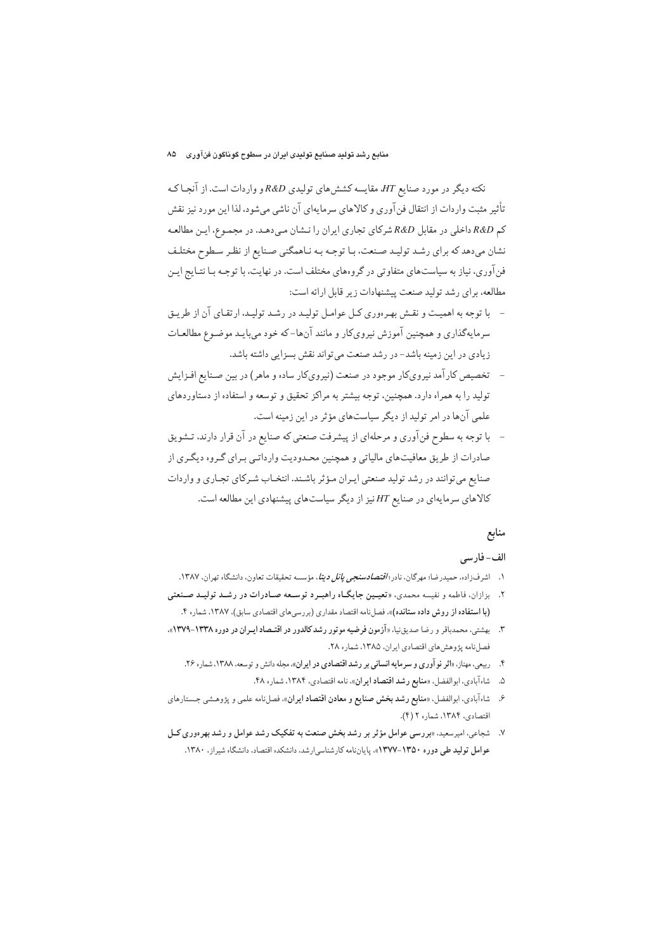نکته دیگر در مورد صنایع HT، مقایسه کششهای تولیدی R&D و واردات است. از آنجا ک تأثير مثبت واردات از انتقال فن آوري و كالاهاي سرمايهاي آن ناشي مي شود، لذا اين مورد نيز نقش کم R&D داخلی در مقابل R&D شرکای تجاری ایران را نـشان مـی،دهـد. در مجمـوع، ایـن مطالعـه نشان میدهد که برای رشد تولید صنعت، با توجه به ناهمگنی صنایع از نظر سطوح مختلف فن آوری، نیاز به سیاستهای متفاوتی در گروههای مختلف است. در نهایت، با توجـه بـا نتـایج ایـن مطالعه، برای رشد تولید صنعت پیشنهادات زیر قابل ارائه است:

- با توجه به اهمیت و نقش بهرهوری کـل عوامـل تولیـد در رشـد تولیـد، ارتقـای آن از طریـق سرمایهگذاری و همچنین آموزش نیرویکار و مانند آنها-که خود می بایـد موضـوع مطالعـات زیادی در این زمینه باشد– در رشد صنعت می تواند نقش بسزایی داشته باشد.
- تخصیص کار آمد نیرویکار موجود در صنعت (نیرویکار ساده و ماهر) در بین صـنایع افـزایش تولید را به همراه دارد. همچنین، توجه بیشتر به مراکز تحقیق و توسعه و استفاده از دستاوردهای علمي آنها در امر توليد از ديگر سياستهاي مؤثر در اين زمينه است.
- با توجه به سطوح فنآوري و مرحلهاي از پيشرفت صنعتي كه صنايع در آن قرار دارند، تــشويق صادرات از طریق معافیتهای مالیاتی و همچنین محدودیت وارداتی برای گروه دیگری از صنايع مي توانند در رشد توليد صنعتي ايـران مـؤ ثر باشـند. انتخـاب شـركاي تجـاري و واردات کالاهای سرمایهای در صنایع HT نیز از دیگر سیاستهای پیشنهادی این مطالعه است.

# منابع

## الف-فارسي

- ۱. اشرفزاده، حمیدرضا؛ مهرگان، نادر؛ *اقتصادسنجي پانل ديتا*، مؤسسه تحقيقات تعاون، دانشگاه تهران، ۱۳۸۷.
- ۲. بزازان، فاطمه و نفیسه محمدی، «تعیمین جایگاه راهبرد توسعه صـادرات در رشـد تولیـد صـنعتی (با استفاده از روش داده ستانده)». فصلنامه اقتصاد مقداري (بررسي هاي اقتصادي سابق). ١٣٨٧. شماره ۴.
- ۳. بهشتی، محمدباقر و رضا صدیق نیا، «آزمون فرضیه موتور رشد کالدور در اقتـصاد ایـران در دوره ۱۳۳۸-۱۳۷۹». فصلنامه پژوهش های اقتصادی ایران، ۱۳۸۵، شماره ۲۸.
	- ۴. ربیعی، مهناز، «اثر نوآوری و سرمایه انسانی بر رشد اقتصادی در ایران»، مجله دانش و توسعه، ۱۳۸۸، شماره ۲۶.
		- ۵. شاه آبادي، ابوالفضل، «منابع رشد اقتصاد ايران»، نامه اقتصادي، ١٣٨۴، شماره ۴٨.
- ۶. شاه آبادي، ابوالفضل، «**منابع رشد بخش صنايع و معادن اقتصاد ايران**»، فصلنامه علمي و يژوهشي جستارهاي اقتصادي، ١٣٨۴. شماره ٢ (۴).
- ۷. شجاعی، امیرسعید، «بررسی عوامل مؤثر بر رشد بخش صنعت به تفکیک رشد عوامل و رشد بهرهوری کـل عوامل تو**لید ط**ی دوره ۱۳۵۰–۱۳۷۷»، پایاننامه کارشناسه ارشد، دانشکده اقتصاد، دانشگاه شیراز، ۱۳۸۰.